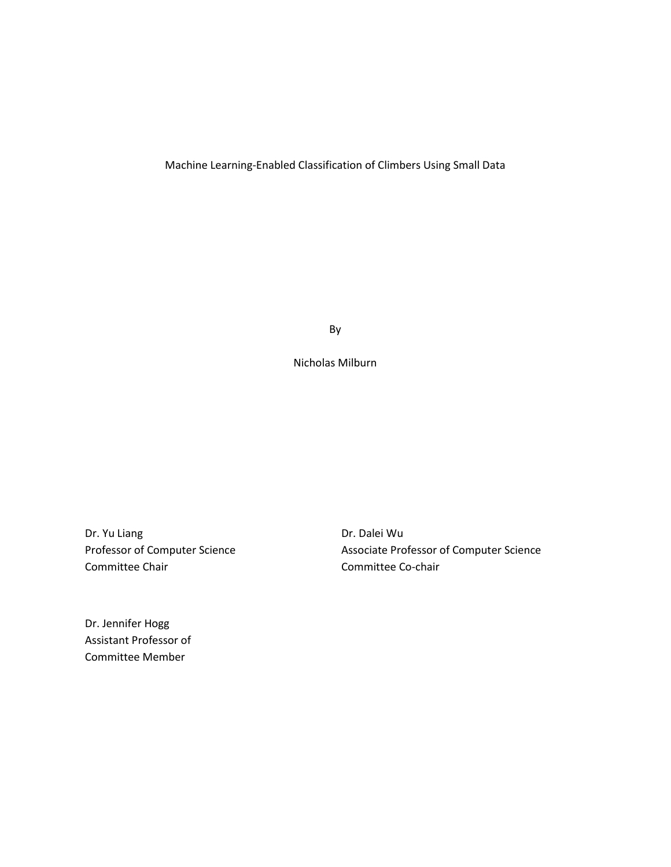# Machine Learning-Enabled Classification of Climbers Using Small Data

By

Nicholas Milburn

Dr. Yu Liang Professor of Computer Science Committee Chair

Dr. Dalei Wu Associate Professor of Computer Science Committee Co-chair

Dr. Jennifer Hogg Assistant Professor of Committee Member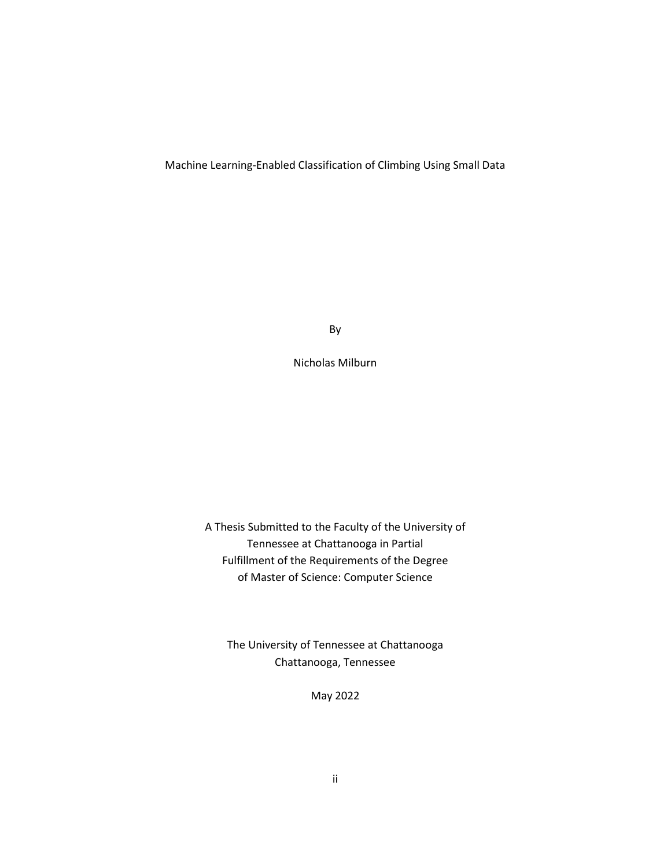## Machine Learning-Enabled Classification of Climbing Using Small Data

By

Nicholas Milburn

A Thesis Submitted to the Faculty of the University of Tennessee at Chattanooga in Partial Fulfillment of the Requirements of the Degree of Master of Science: Computer Science

The University of Tennessee at Chattanooga Chattanooga, Tennessee

May 2022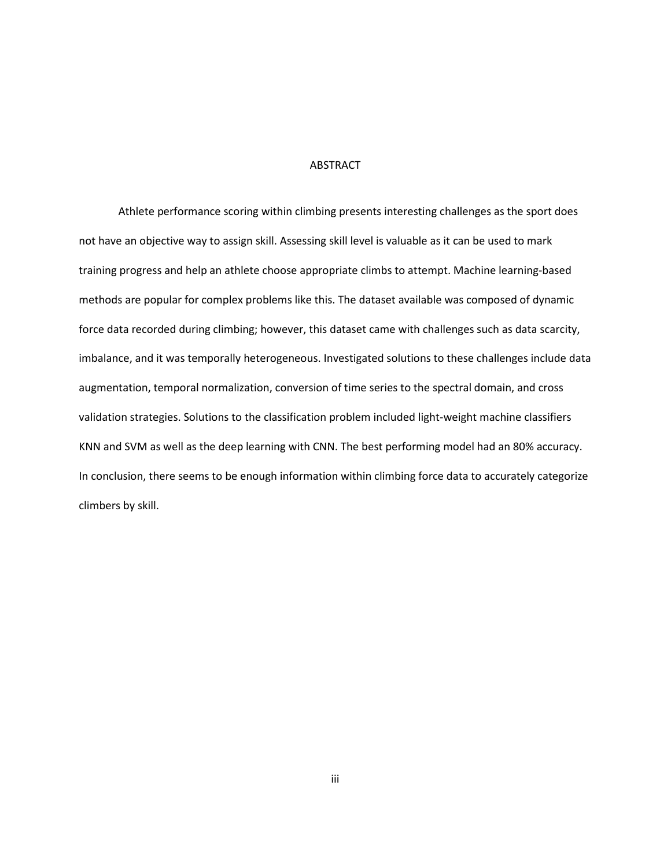### ABSTRACT

Athlete performance scoring within climbing presents interesting challenges as the sport does not have an objective way to assign skill. Assessing skill level is valuable as it can be used to mark training progress and help an athlete choose appropriate climbs to attempt. Machine learning-based methods are popular for complex problems like this. The dataset available was composed of dynamic force data recorded during climbing; however, this dataset came with challenges such as data scarcity, imbalance, and it was temporally heterogeneous. Investigated solutions to these challenges include data augmentation, temporal normalization, conversion of time series to the spectral domain, and cross validation strategies. Solutions to the classification problem included light-weight machine classifiers KNN and SVM as well as the deep learning with CNN. The best performing model had an 80% accuracy. In conclusion, there seems to be enough information within climbing force data to accurately categorize climbers by skill.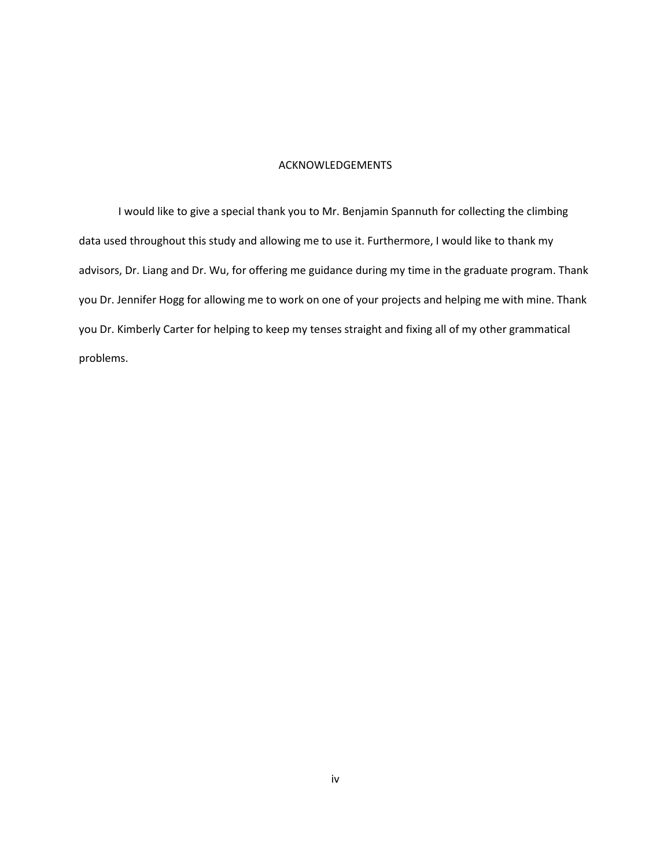### ACKNOWLEDGEMENTS

I would like to give a special thank you to Mr. Benjamin Spannuth for collecting the climbing data used throughout this study and allowing me to use it. Furthermore, I would like to thank my advisors, Dr. Liang and Dr. Wu, for offering me guidance during my time in the graduate program. Thank you Dr. Jennifer Hogg for allowing me to work on one of your projects and helping me with mine. Thank you Dr. Kimberly Carter for helping to keep my tenses straight and fixing all of my other grammatical problems.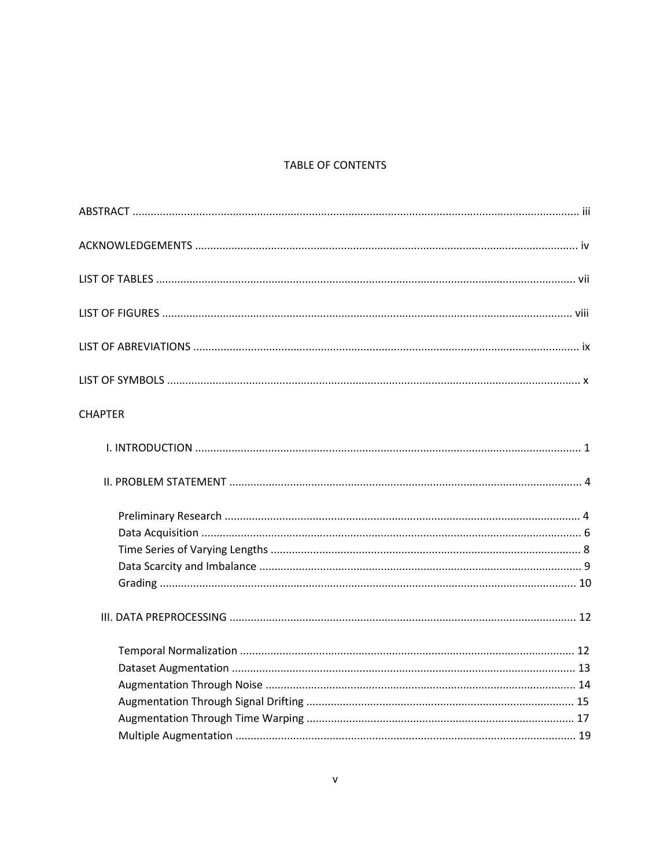# TABLE OF CONTENTS

| <b>CHAPTER</b> |  |
|----------------|--|
|                |  |
|                |  |
|                |  |
|                |  |
|                |  |
|                |  |
|                |  |
|                |  |
|                |  |
|                |  |
|                |  |
|                |  |
|                |  |
|                |  |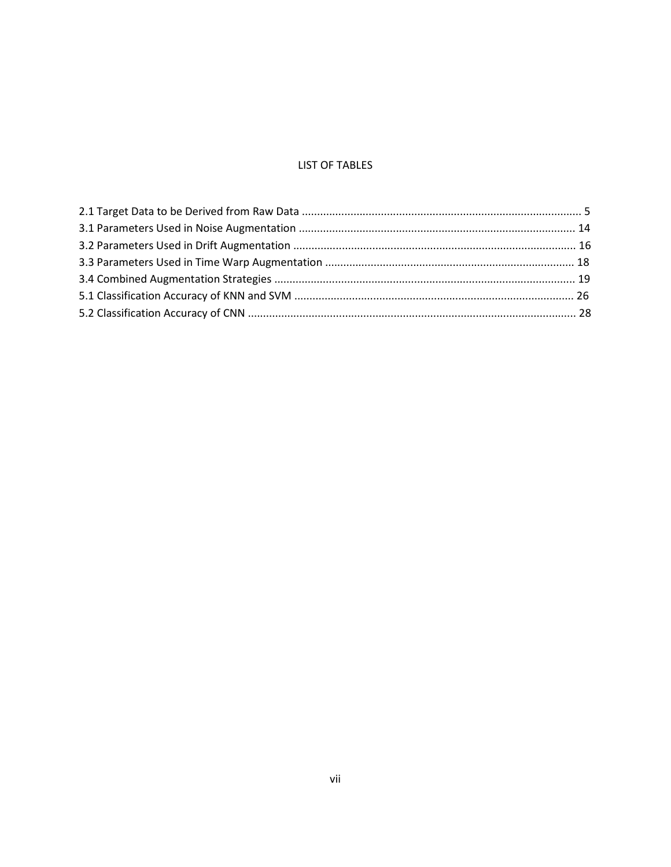## **LIST OF TABLES**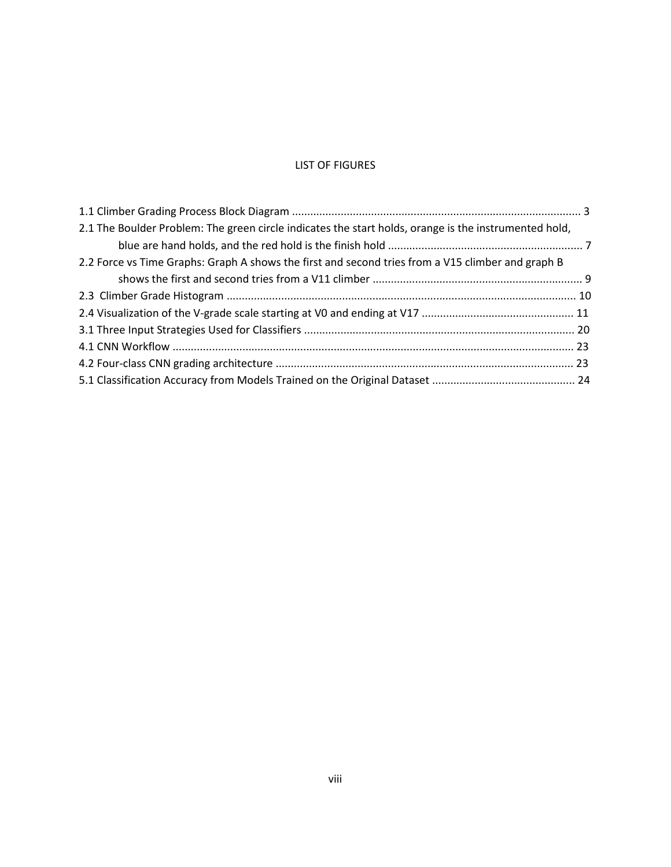## LIST OF FIGURES

| 2.1 The Boulder Problem: The green circle indicates the start holds, orange is the instrumented hold, |  |
|-------------------------------------------------------------------------------------------------------|--|
|                                                                                                       |  |
| 2.2 Force vs Time Graphs: Graph A shows the first and second tries from a V15 climber and graph B     |  |
|                                                                                                       |  |
|                                                                                                       |  |
|                                                                                                       |  |
|                                                                                                       |  |
|                                                                                                       |  |
|                                                                                                       |  |
|                                                                                                       |  |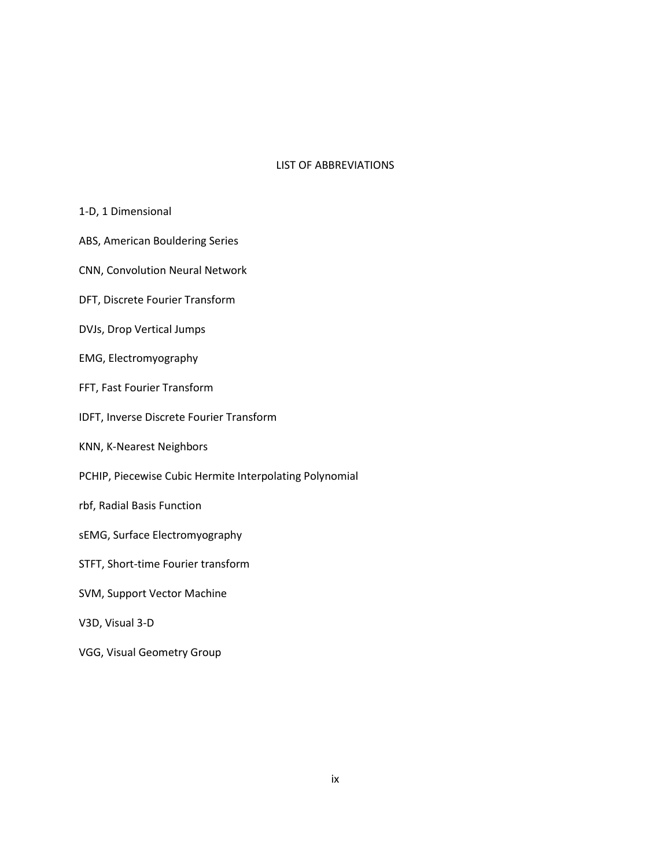## LIST OF ABBREVIATIONS

## 1-D, 1 Dimensional

- ABS, American Bouldering Series
- CNN, Convolution Neural Network
- DFT, Discrete Fourier Transform
- DVJs, Drop Vertical Jumps
- EMG, Electromyography
- FFT, Fast Fourier Transform
- IDFT, Inverse Discrete Fourier Transform
- KNN, K-Nearest Neighbors
- PCHIP, Piecewise Cubic Hermite Interpolating Polynomial
- rbf, Radial Basis Function
- sEMG, Surface Electromyography
- STFT, Short-time Fourier transform
- SVM, Support Vector Machine
- V3D, Visual 3-D
- VGG, Visual Geometry Group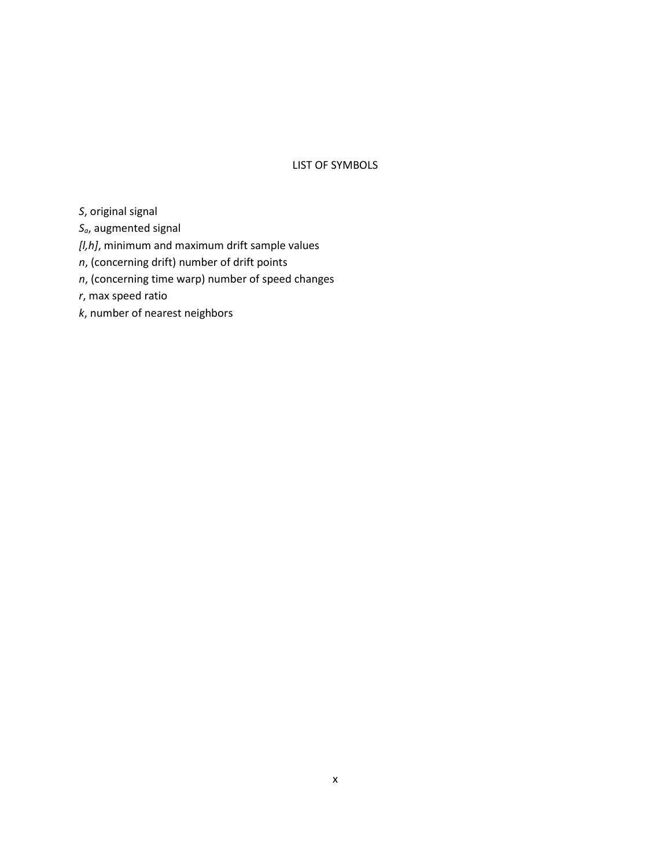## LIST OF SYMBOLS

- *S*, original signal
- *Sa*, augmented signal
- *[l,h]*, minimum and maximum drift sample values
- *n*, (concerning drift) number of drift points
- *n*, (concerning time warp) number of speed changes
- *r*, max speed ratio
- *k*, number of nearest neighbors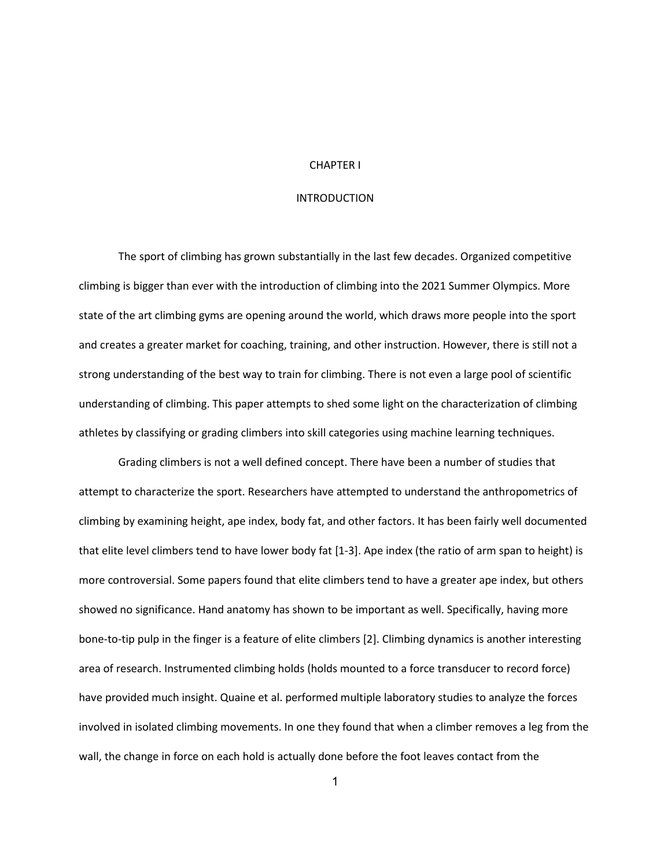### CHAPTER I

### INTRODUCTION

The sport of climbing has grown substantially in the last few decades. Organized competitive climbing is bigger than ever with the introduction of climbing into the 2021 Summer Olympics. More state of the art climbing gyms are opening around the world, which draws more people into the sport and creates a greater market for coaching, training, and other instruction. However, there is still not a strong understanding of the best way to train for climbing. There is not even a large pool of scientific understanding of climbing. This paper attempts to shed some light on the characterization of climbing athletes by classifying or grading climbers into skill categories using machine learning techniques.

Grading climbers is not a well defined concept. There have been a number of studies that attempt to characterize the sport. Researchers have attempted to understand the anthropometrics of climbing by examining height, ape index, body fat, and other factors. It has been fairly well documented that elite level climbers tend to have lower body fat [1-3]. Ape index (the ratio of arm span to height) is more controversial. Some papers found that elite climbers tend to have a greater ape index, but others showed no significance. Hand anatomy has shown to be important as well. Specifically, having more bone-to-tip pulp in the finger is a feature of elite climbers [2]. Climbing dynamics is another interesting area of research. Instrumented climbing holds (holds mounted to a force transducer to record force) have provided much insight. Quaine et al. performed multiple laboratory studies to analyze the forces involved in isolated climbing movements. In one they found that when a climber removes a leg from the wall, the change in force on each hold is actually done before the foot leaves contact from the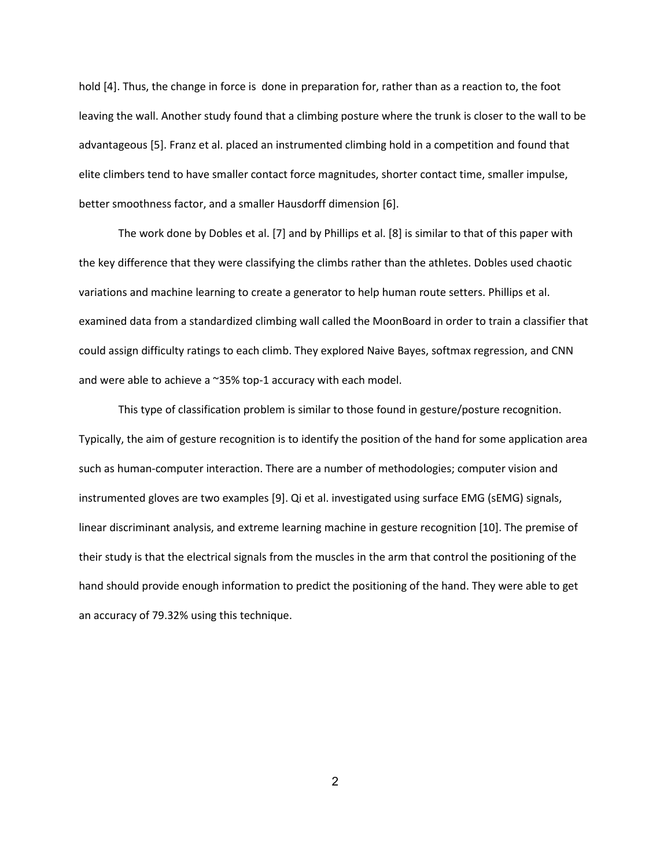hold [4]. Thus, the change in force is done in preparation for, rather than as a reaction to, the foot leaving the wall. Another study found that a climbing posture where the trunk is closer to the wall to be advantageous [5]. Franz et al. placed an instrumented climbing hold in a competition and found that elite climbers tend to have smaller contact force magnitudes, shorter contact time, smaller impulse, better smoothness factor, and a smaller Hausdorff dimension [6].

The work done by Dobles et al. [7] and by Phillips et al. [8] is similar to that of this paper with the key difference that they were classifying the climbs rather than the athletes. Dobles used chaotic variations and machine learning to create a generator to help human route setters. Phillips et al. examined data from a standardized climbing wall called the MoonBoard in order to train a classifier that could assign difficulty ratings to each climb. They explored Naive Bayes, softmax regression, and CNN and were able to achieve a ~35% top-1 accuracy with each model.

This type of classification problem is similar to those found in gesture/posture recognition. Typically, the aim of gesture recognition is to identify the position of the hand for some application area such as human-computer interaction. There are a number of methodologies; computer vision and instrumented gloves are two examples [9]. Qi et al. investigated using surface EMG (sEMG) signals, linear discriminant analysis, and extreme learning machine in gesture recognition [10]. The premise of their study is that the electrical signals from the muscles in the arm that control the positioning of the hand should provide enough information to predict the positioning of the hand. They were able to get an accuracy of 79.32% using this technique.

2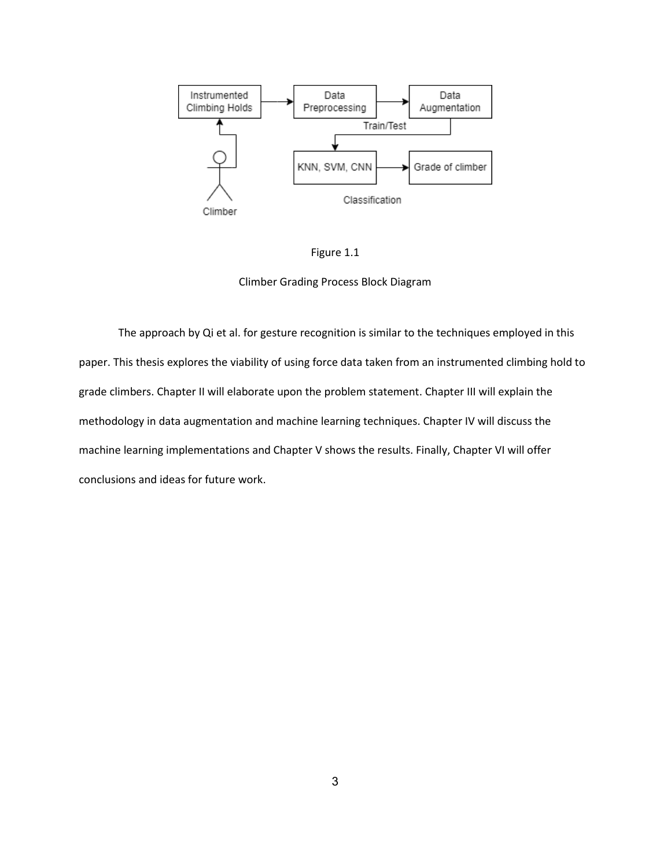

Figure 1.1

Climber Grading Process Block Diagram

The approach by Qi et al. for gesture recognition is similar to the techniques employed in this paper. This thesis explores the viability of using force data taken from an instrumented climbing hold to grade climbers. Chapter II will elaborate upon the problem statement. Chapter III will explain the methodology in data augmentation and machine learning techniques. Chapter IV will discuss the machine learning implementations and Chapter V shows the results. Finally, Chapter VI will offer conclusions and ideas for future work.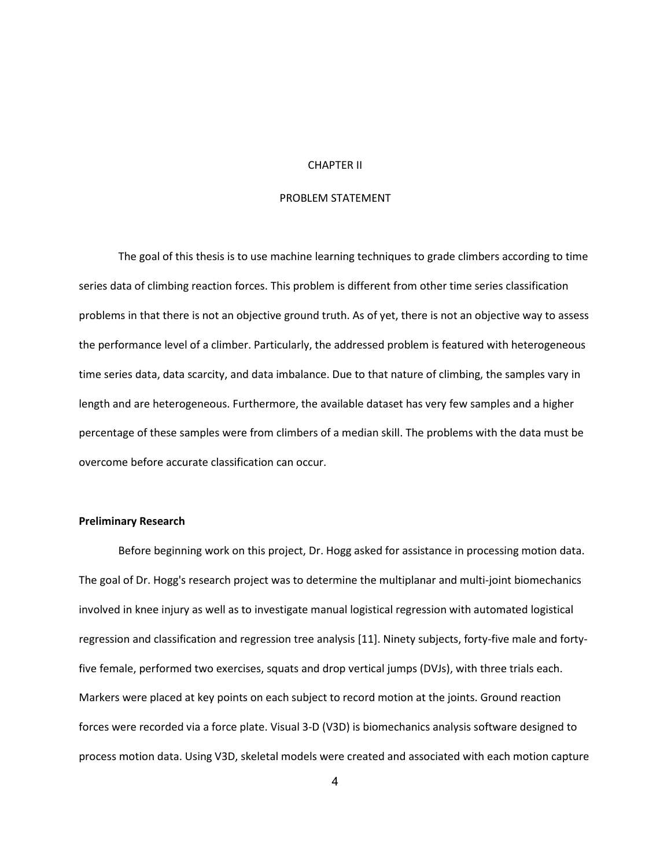### CHAPTER II

## PROBLEM STATEMENT

The goal of this thesis is to use machine learning techniques to grade climbers according to time series data of climbing reaction forces. This problem is different from other time series classification problems in that there is not an objective ground truth. As of yet, there is not an objective way to assess the performance level of a climber. Particularly, the addressed problem is featured with heterogeneous time series data, data scarcity, and data imbalance. Due to that nature of climbing, the samples vary in length and are heterogeneous. Furthermore, the available dataset has very few samples and a higher percentage of these samples were from climbers of a median skill. The problems with the data must be overcome before accurate classification can occur.

#### **Preliminary Research**

Before beginning work on this project, Dr. Hogg asked for assistance in processing motion data. The goal of Dr. Hogg's research project was to determine the multiplanar and multi-joint biomechanics involved in knee injury as well as to investigate manual logistical regression with automated logistical regression and classification and regression tree analysis [11]. Ninety subjects, forty-five male and fortyfive female, performed two exercises, squats and drop vertical jumps (DVJs), with three trials each. Markers were placed at key points on each subject to record motion at the joints. Ground reaction forces were recorded via a force plate. Visual 3-D (V3D) is biomechanics analysis software designed to process motion data. Using V3D, skeletal models were created and associated with each motion capture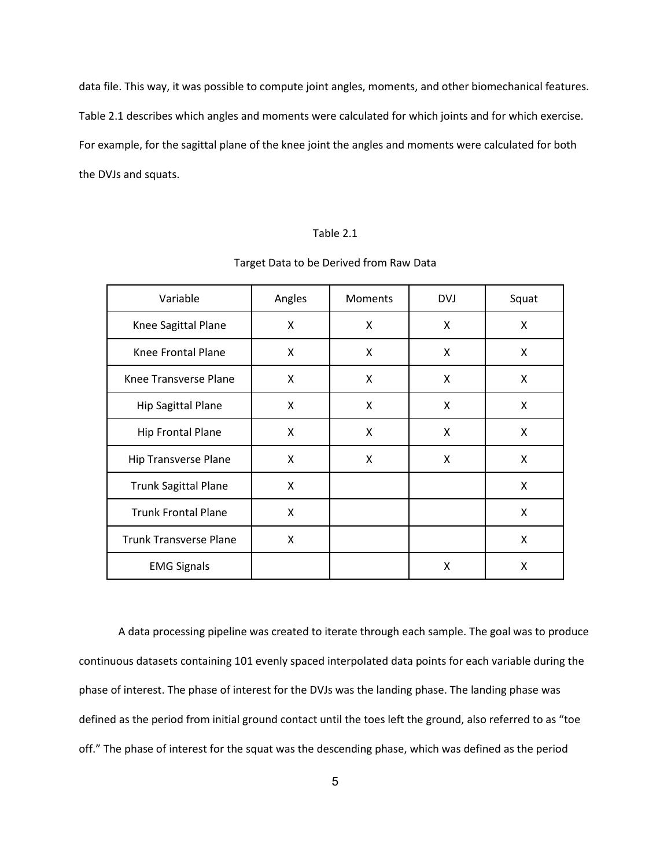data file. This way, it was possible to compute joint angles, moments, and other biomechanical features. Table 2.1 describes which angles and moments were calculated for which joints and for which exercise. For example, for the sagittal plane of the knee joint the angles and moments were calculated for both the DVJs and squats.

#### Table 2.1

| Target Data to be Derived from Raw Data |  |
|-----------------------------------------|--|
|-----------------------------------------|--|

| Variable                      | Angles | Moments | <b>DVJ</b> | Squat |
|-------------------------------|--------|---------|------------|-------|
| Knee Sagittal Plane           | X      | X       | X          | X     |
| Knee Frontal Plane            | X      | X       | X          | X     |
| Knee Transverse Plane         | X      | X       | X          | X     |
| <b>Hip Sagittal Plane</b>     | Χ      | X       | X          | X     |
| <b>Hip Frontal Plane</b>      | X      | X       | X          | X     |
| <b>Hip Transverse Plane</b>   | X      | X       | X          | X     |
| <b>Trunk Sagittal Plane</b>   | X      |         |            | X     |
| <b>Trunk Frontal Plane</b>    | X      |         |            | X     |
| <b>Trunk Transverse Plane</b> | X      |         |            | X     |
| <b>EMG Signals</b>            |        |         | X          | X     |

A data processing pipeline was created to iterate through each sample. The goal was to produce continuous datasets containing 101 evenly spaced interpolated data points for each variable during the phase of interest. The phase of interest for the DVJs was the landing phase. The landing phase was defined as the period from initial ground contact until the toes left the ground, also referred to as "toe off." The phase of interest for the squat was the descending phase, which was defined as the period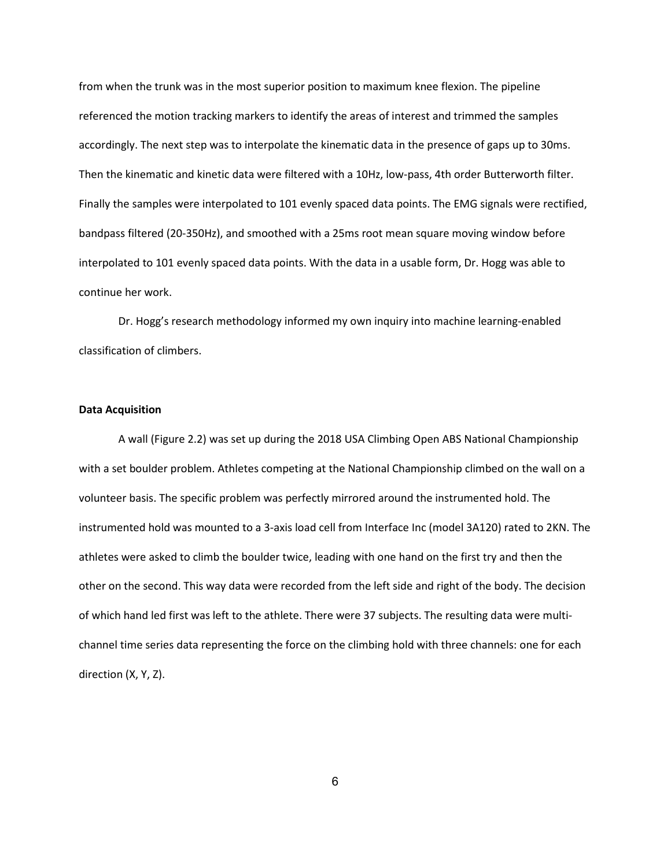from when the trunk was in the most superior position to maximum knee flexion. The pipeline referenced the motion tracking markers to identify the areas of interest and trimmed the samples accordingly. The next step was to interpolate the kinematic data in the presence of gaps up to 30ms. Then the kinematic and kinetic data were filtered with a 10Hz, low-pass, 4th order Butterworth filter. Finally the samples were interpolated to 101 evenly spaced data points. The EMG signals were rectified, bandpass filtered (20-350Hz), and smoothed with a 25ms root mean square moving window before interpolated to 101 evenly spaced data points. With the data in a usable form, Dr. Hogg was able to continue her work.

Dr. Hogg's research methodology informed my own inquiry into machine learning-enabled classification of climbers.

### **Data Acquisition**

A wall (Figure 2.2) was set up during the 2018 USA Climbing Open ABS National Championship with a set boulder problem. Athletes competing at the National Championship climbed on the wall on a volunteer basis. The specific problem was perfectly mirrored around the instrumented hold. The instrumented hold was mounted to a 3-axis load cell from Interface Inc (model 3A120) rated to 2KN. The athletes were asked to climb the boulder twice, leading with one hand on the first try and then the other on the second. This way data were recorded from the left side and right of the body. The decision of which hand led first was left to the athlete. There were 37 subjects. The resulting data were multichannel time series data representing the force on the climbing hold with three channels: one for each direction (X, Y, Z).

6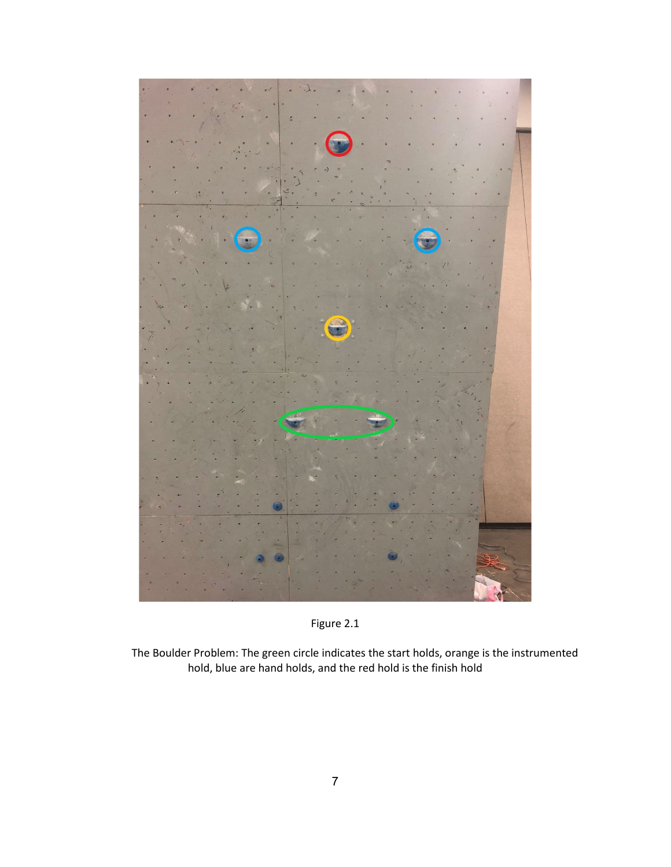

Figure 2.1

The Boulder Problem: The green circle indicates the start holds, orange is the instrumented hold, blue are hand holds, and the red hold is the finish hold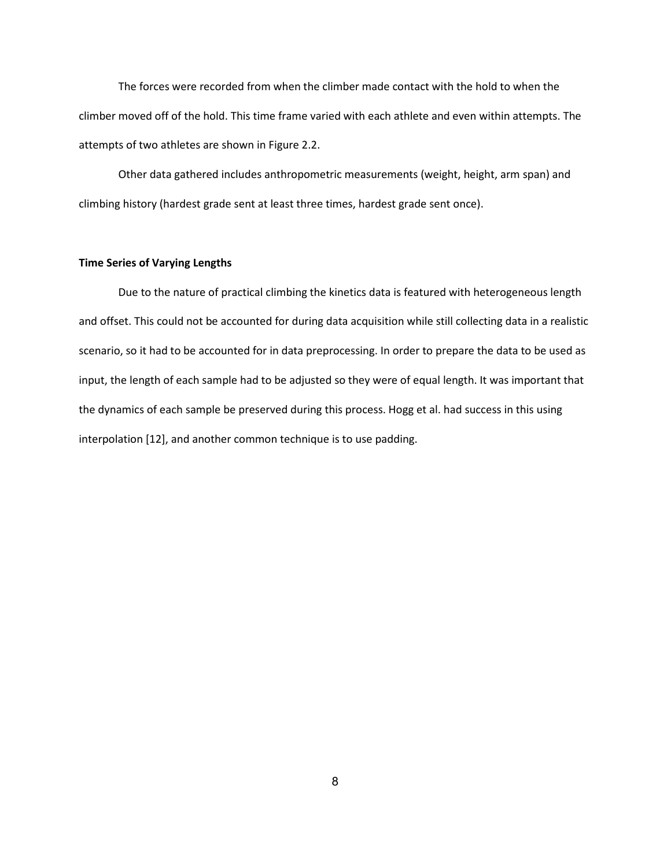The forces were recorded from when the climber made contact with the hold to when the climber moved off of the hold. This time frame varied with each athlete and even within attempts. The attempts of two athletes are shown in Figure 2.2.

Other data gathered includes anthropometric measurements (weight, height, arm span) and climbing history (hardest grade sent at least three times, hardest grade sent once).

#### **Time Series of Varying Lengths**

Due to the nature of practical climbing the kinetics data is featured with heterogeneous length and offset. This could not be accounted for during data acquisition while still collecting data in a realistic scenario, so it had to be accounted for in data preprocessing. In order to prepare the data to be used as input, the length of each sample had to be adjusted so they were of equal length. It was important that the dynamics of each sample be preserved during this process. Hogg et al. had success in this using interpolation [12], and another common technique is to use padding.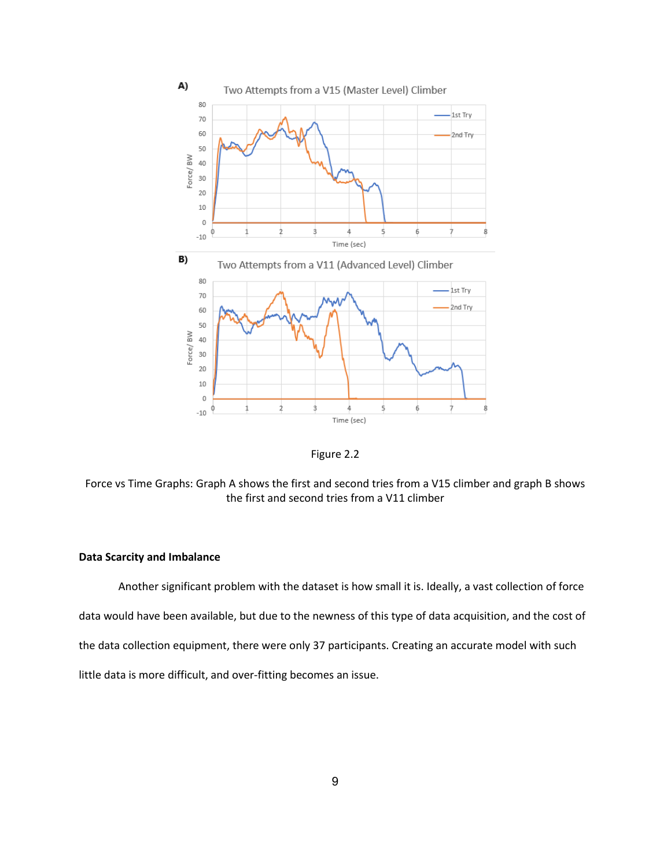



Force vs Time Graphs: Graph A shows the first and second tries from a V15 climber and graph B shows the first and second tries from a V11 climber

## **Data Scarcity and Imbalance**

Another significant problem with the dataset is how small it is. Ideally, a vast collection of force data would have been available, but due to the newness of this type of data acquisition, and the cost of the data collection equipment, there were only 37 participants. Creating an accurate model with such little data is more difficult, and over-fitting becomes an issue.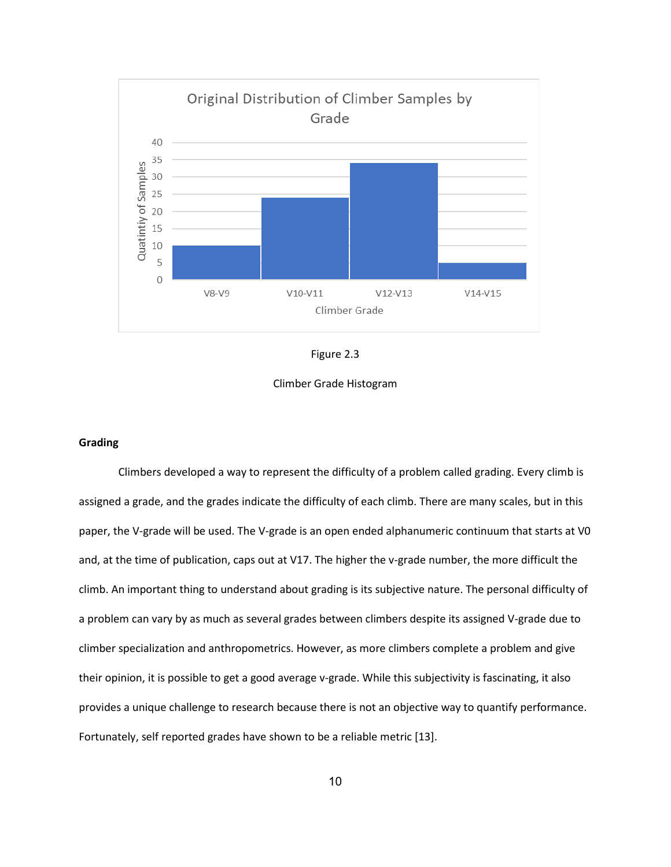

Figure 2.3

Climber Grade Histogram

### **Grading**

Climbers developed a way to represent the difficulty of a problem called grading. Every climb is assigned a grade, and the grades indicate the difficulty of each climb. There are many scales, but in this paper, the V-grade will be used. The V-grade is an open ended alphanumeric continuum that starts at V0 and, at the time of publication, caps out at V17. The higher the v-grade number, the more difficult the climb. An important thing to understand about grading is its subjective nature. The personal difficulty of a problem can vary by as much as several grades between climbers despite its assigned V-grade due to climber specialization and anthropometrics. However, as more climbers complete a problem and give their opinion, it is possible to get a good average v-grade. While this subjectivity is fascinating, it also provides a unique challenge to research because there is not an objective way to quantify performance. Fortunately, self reported grades have shown to be a reliable metric [13].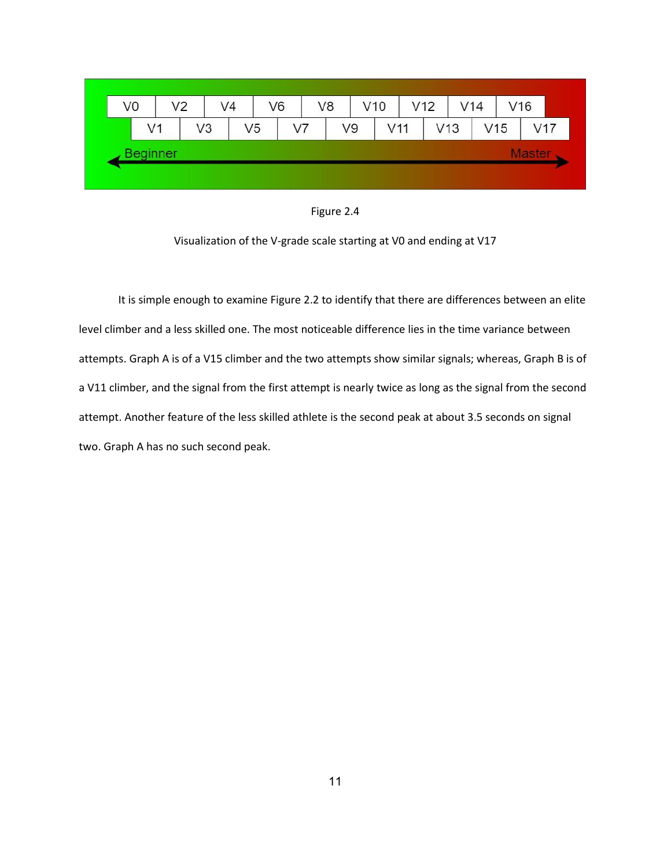| V <sub>0</sub> | V <sub>2</sub>  |    | V <sub>4</sub> | V <sub>6</sub> | V <sub>8</sub> |    | V10 | V12 |     | V14 |                 | V16 |
|----------------|-----------------|----|----------------|----------------|----------------|----|-----|-----|-----|-----|-----------------|-----|
|                | V1              | V3 | V <sub>5</sub> |                | V7             | V9 | V11 |     | V13 |     | V <sub>15</sub> | V17 |
|                | <b>Beginner</b> |    |                |                |                |    |     |     |     |     |                 |     |

Figure 2.4

Visualization of the V-grade scale starting at V0 and ending at V17

It is simple enough to examine Figure 2.2 to identify that there are differences between an elite level climber and a less skilled one. The most noticeable difference lies in the time variance between attempts. Graph A is of a V15 climber and the two attempts show similar signals; whereas, Graph B is of a V11 climber, and the signal from the first attempt is nearly twice as long as the signal from the second attempt. Another feature of the less skilled athlete is the second peak at about 3.5 seconds on signal two. Graph A has no such second peak.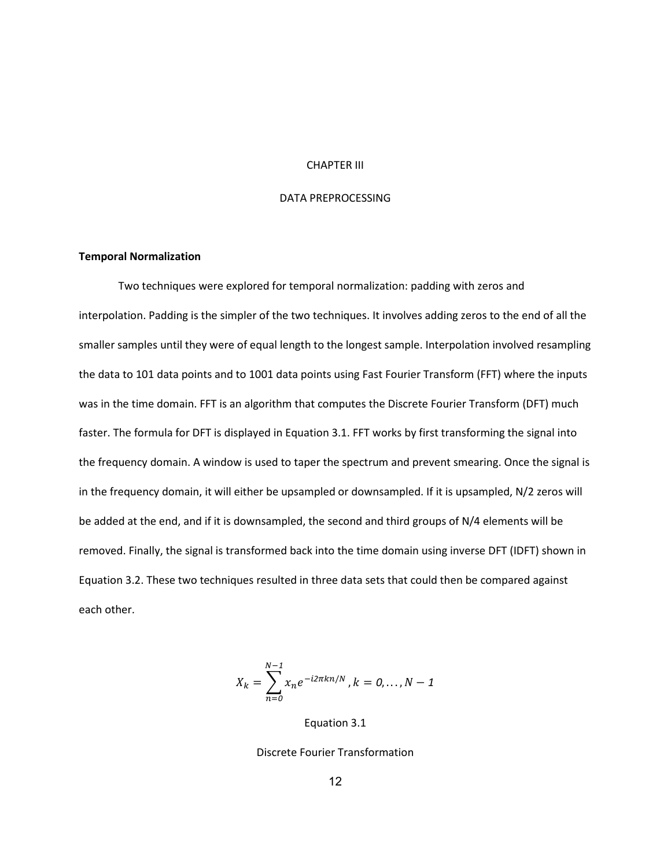#### CHAPTER III

## DATA PREPROCESSING

### **Temporal Normalization**

Two techniques were explored for temporal normalization: padding with zeros and interpolation. Padding is the simpler of the two techniques. It involves adding zeros to the end of all the smaller samples until they were of equal length to the longest sample. Interpolation involved resampling the data to 101 data points and to 1001 data points using Fast Fourier Transform (FFT) where the inputs was in the time domain. FFT is an algorithm that computes the Discrete Fourier Transform (DFT) much faster. The formula for DFT is displayed in Equation 3.1. FFT works by first transforming the signal into the frequency domain. A window is used to taper the spectrum and prevent smearing. Once the signal is in the frequency domain, it will either be upsampled or downsampled. If it is upsampled, N/2 zeros will be added at the end, and if it is downsampled, the second and third groups of N/4 elements will be removed. Finally, the signal is transformed back into the time domain using inverse DFT (IDFT) shown in Equation 3.2. These two techniques resulted in three data sets that could then be compared against each other.

$$
X_k = \sum_{n=0}^{N-1} x_n e^{-i2\pi k n/N}, k = 0, ..., N-1
$$

Equation 3.1

Discrete Fourier Transformation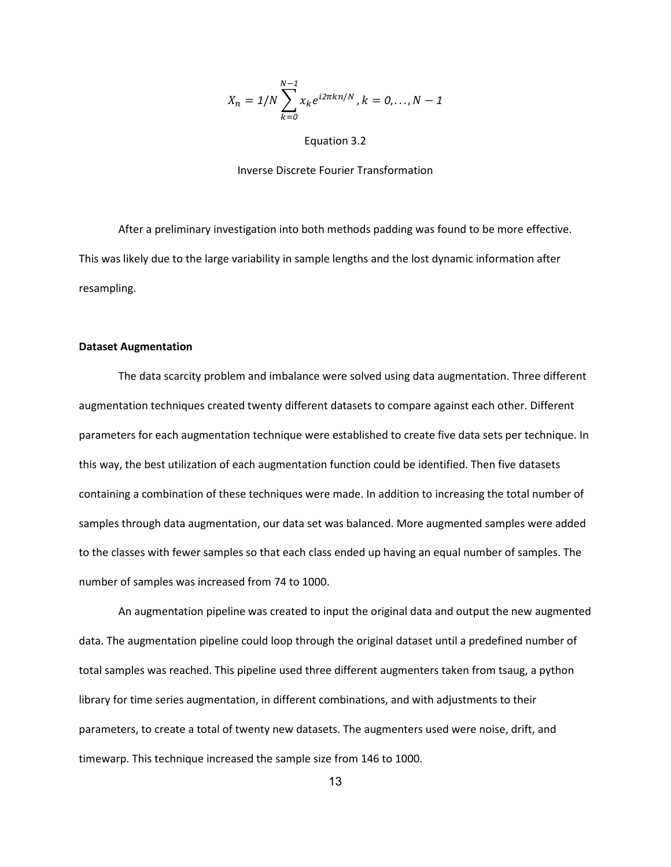$$
X_n = 1/N \sum_{k=0}^{N-1} x_k e^{i2\pi k n/N}, k = 0,..., N-1
$$

Equation 3.2

#### Inverse Discrete Fourier Transformation

After a preliminary investigation into both methods padding was found to be more effective. This was likely due to the large variability in sample lengths and the lost dynamic information after resampling.

#### **Dataset Augmentation**

The data scarcity problem and imbalance were solved using data augmentation. Three different augmentation techniques created twenty different datasets to compare against each other. Different parameters for each augmentation technique were established to create five data sets per technique. In this way, the best utilization of each augmentation function could be identified. Then five datasets containing a combination of these techniques were made. In addition to increasing the total number of samples through data augmentation, our data set was balanced. More augmented samples were added to the classes with fewer samples so that each class ended up having an equal number of samples. The number of samples was increased from 74 to 1000.

An augmentation pipeline was created to input the original data and output the new augmented data. The augmentation pipeline could loop through the original dataset until a predefined number of total samples was reached. This pipeline used three different augmenters taken from tsaug, a python library for time series augmentation, in different combinations, and with adjustments to their parameters, to create a total of twenty new datasets. The augmenters used were noise, drift, and timewarp. This technique increased the sample size from 146 to 1000.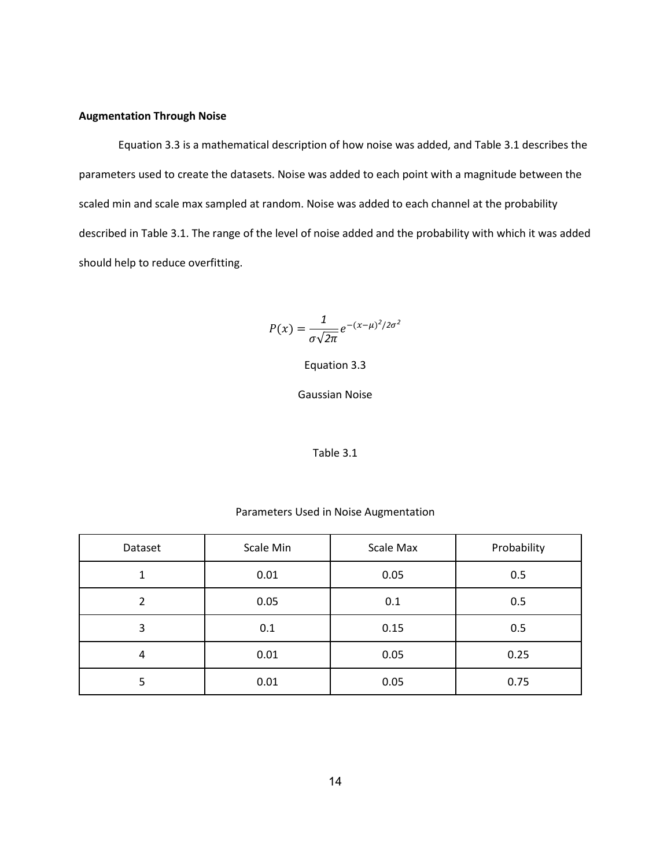## **Augmentation Through Noise**

Equation 3.3 is a mathematical description of how noise was added, and Table 3.1 describes the parameters used to create the datasets. Noise was added to each point with a magnitude between the scaled min and scale max sampled at random. Noise was added to each channel at the probability described in Table 3.1. The range of the level of noise added and the probability with which it was added should help to reduce overfitting.

$$
P(x) = \frac{1}{\sigma\sqrt{2\pi}}e^{-(x-\mu)^2/2\sigma^2}
$$

Equation 3.3

Gaussian Noise

### Table 3.1

### Parameters Used in Noise Augmentation

| Dataset | Scale Min | Scale Max | Probability |
|---------|-----------|-----------|-------------|
|         | 0.01      | 0.05      | 0.5         |
| 2       | 0.05      | 0.1       | 0.5         |
| 3       | 0.1       | 0.15      | 0.5         |
| 4       | 0.01      | 0.05      | 0.25        |
| 5       | 0.01      | 0.05      | 0.75        |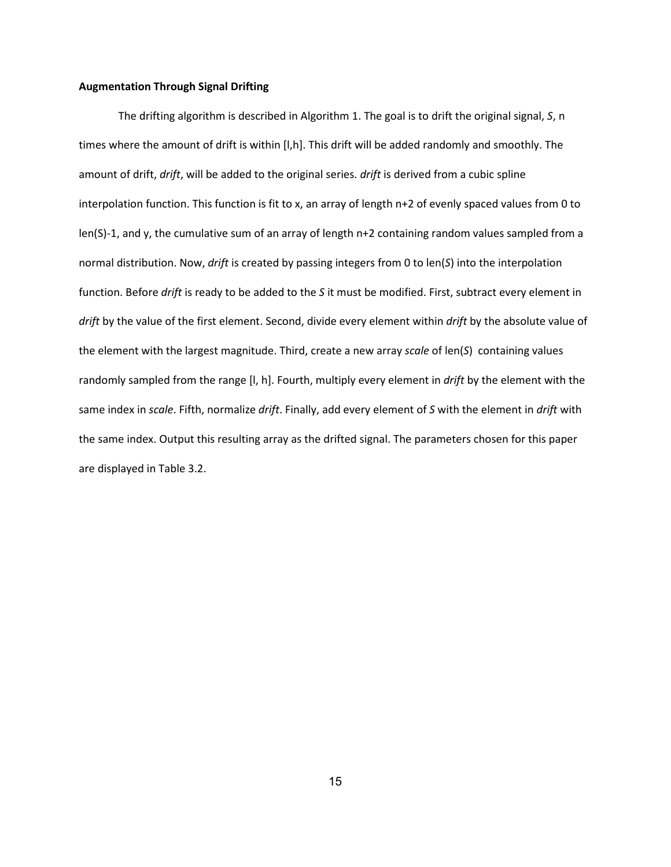### **Augmentation Through Signal Drifting**

The drifting algorithm is described in Algorithm 1. The goal is to drift the original signal, *S*, n times where the amount of drift is within [I,h]. This drift will be added randomly and smoothly. The amount of drift, *drift*, will be added to the original series. *drift* is derived from a cubic spline interpolation function. This function is fit to x, an array of length n+2 of evenly spaced values from 0 to len(S)-1, and y, the cumulative sum of an array of length n+2 containing random values sampled from a normal distribution. Now, *drift* is created by passing integers from 0 to len(*S*) into the interpolation function. Before *drift* is ready to be added to the *S* it must be modified. First, subtract every element in *drift* by the value of the first element. Second, divide every element within *drift* by the absolute value of the element with the largest magnitude. Third, create a new array *scale* of len(*S*) containing values randomly sampled from the range [l, h]. Fourth, multiply every element in *drift* by the element with the same index in *scale*. Fifth, normalize *drift*. Finally, add every element of *S* with the element in *drift* with the same index. Output this resulting array as the drifted signal. The parameters chosen for this paper are displayed in Table 3.2.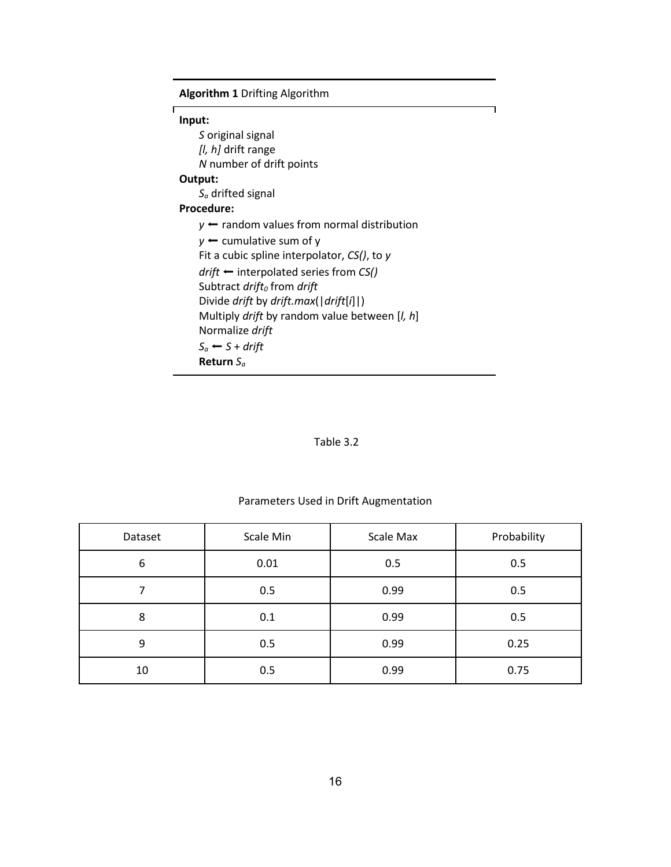| <b>Algorithm 1 Drifting Algorithm</b>                                 |
|-----------------------------------------------------------------------|
| Г<br>Input:                                                           |
| S original signal                                                     |
| <i>[l, h]</i> drift range                                             |
| N number of drift points                                              |
| Output:                                                               |
| $S_a$ drifted signal                                                  |
| <b>Procedure:</b>                                                     |
| $y \leftarrow$ random values from normal distribution                 |
| $y \leftarrow$ cumulative sum of y                                    |
| Fit a cubic spline interpolator, $CS($ , to y                         |
| $drift \leftarrow$ interpolated series from CS()                      |
| Subtract drift <sub>o</sub> from drift                                |
| Divide drift by drift.max( $\left\lfloor \frac{dr}{t}\right\rfloor$ ) |
| Multiply drift by random value between [ <i>l, h</i> ]                |
| Normalize drift                                                       |
| $S_a \leftarrow S + drift$                                            |
| Return $S_a$                                                          |

# Table 3.2

# Parameters Used in Drift Augmentation

| Dataset | Scale Min | Scale Max | Probability |
|---------|-----------|-----------|-------------|
| 6       | 0.01      | 0.5       | 0.5         |
|         | 0.5       | 0.99      | 0.5         |
| 8       | 0.1       | 0.99      | 0.5         |
| 9       | 0.5       | 0.99      | 0.25        |
| 10      | 0.5       | 0.99      | 0.75        |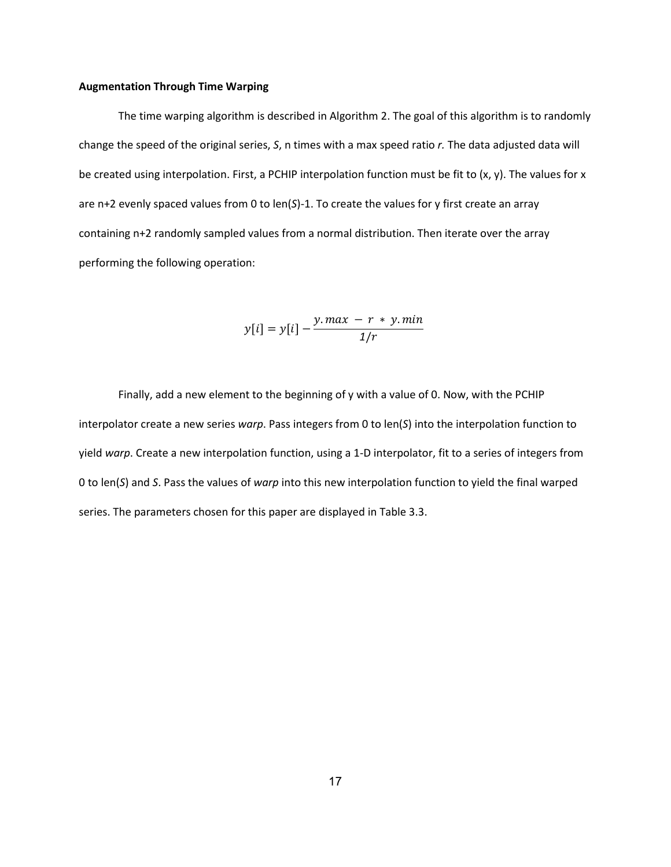#### **Augmentation Through Time Warping**

The time warping algorithm is described in Algorithm 2. The goal of this algorithm is to randomly change the speed of the original series, *S*, n times with a max speed ratio *r.* The data adjusted data will be created using interpolation. First, a PCHIP interpolation function must be fit to (x, y). The values for x are n+2 evenly spaced values from 0 to len(*S*)-1. To create the values for y first create an array containing n+2 randomly sampled values from a normal distribution. Then iterate over the array performing the following operation:

$$
y[i] = y[i] - \frac{y \cdot max - r \cdot y \cdot min}{1/r}
$$

Finally, add a new element to the beginning of y with a value of 0. Now, with the PCHIP interpolator create a new series *warp*. Pass integers from 0 to len(*S*) into the interpolation function to yield *warp*. Create a new interpolation function, using a 1-D interpolator, fit to a series of integers from 0 to len(*S*) and *S*. Pass the values of *warp* into this new interpolation function to yield the final warped series. The parameters chosen for this paper are displayed in Table 3.3.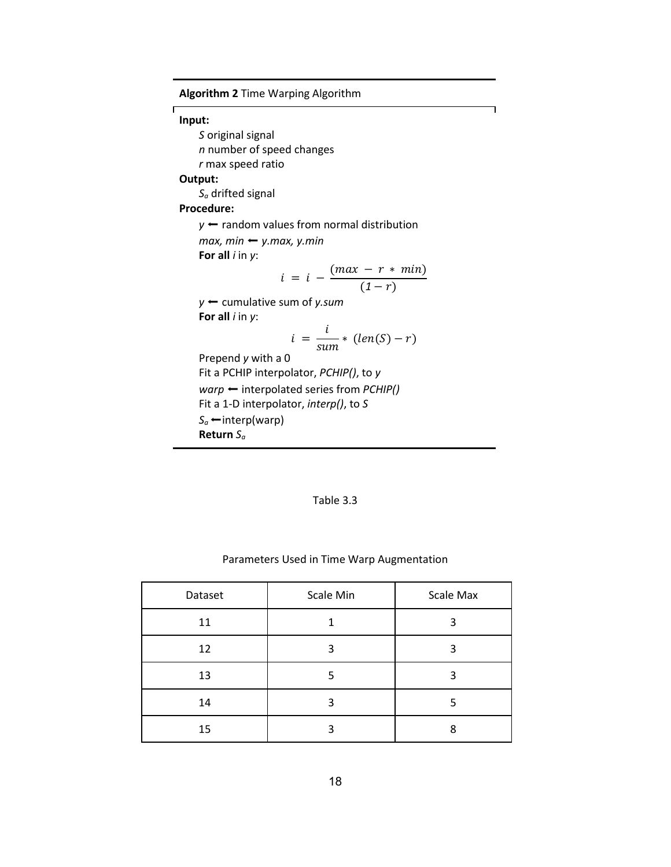| <b>Algorithm 2 Time Warping Algorithm</b>             |
|-------------------------------------------------------|
| Input:                                                |
| S original signal                                     |
| <i>n</i> number of speed changes                      |
| r max speed ratio                                     |
| Output:                                               |
| $S_a$ drifted signal                                  |
| Procedure:                                            |
| $y \leftarrow$ random values from normal distribution |
| $max$ , min $\leftarrow$ y.max, y.min                 |
| For all $i$ in $y$ :                                  |
| $i = i - \frac{(max - r * min)}{(1 - r)}$             |
| $y \leftarrow$ cumulative sum of y.sum                |
| For all $i$ in $y$ :                                  |
| $i = \frac{i}{sum} * (len(S) - r)$                    |
| Prepend y with a 0                                    |
| Fit a PCHIP interpolator, PCHIP(), to y               |
| $warp \leftarrow$ interpolated series from PCHIP()    |
| Fit a 1-D interpolator, <i>interp()</i> , to S        |
| $S_a \leftarrow$ interp(warp)                         |
| Return $S_a$                                          |

 $\overline{\phantom{a}}$ 

## Table 3.3

# Parameters Used in Time Warp Augmentation

| Dataset | Scale Min | Scale Max |
|---------|-----------|-----------|
| 11      |           | 3         |
| 12      | 3         | ว         |
| 13      |           |           |
| 14      | 3         |           |
| 15      |           | ጸ         |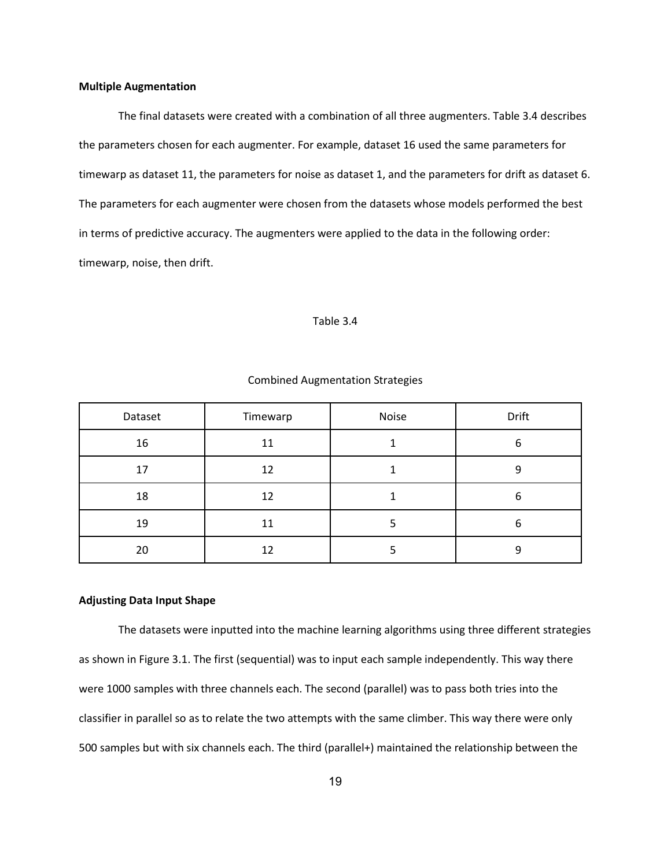#### **Multiple Augmentation**

The final datasets were created with a combination of all three augmenters. Table 3.4 describes the parameters chosen for each augmenter. For example, dataset 16 used the same parameters for timewarp as dataset 11, the parameters for noise as dataset 1, and the parameters for drift as dataset 6. The parameters for each augmenter were chosen from the datasets whose models performed the best in terms of predictive accuracy. The augmenters were applied to the data in the following order: timewarp, noise, then drift.

#### Table 3.4

| Dataset | Timewarp | Noise | Drift |
|---------|----------|-------|-------|
| 16      | 11       |       | 6     |
| 17      | 12       |       | Ω     |
| 18      | 12       |       | 6     |
| 19      | 11       |       | 6     |
| 20      | 12       |       | ٩     |

#### Combined Augmentation Strategies

#### **Adjusting Data Input Shape**

The datasets were inputted into the machine learning algorithms using three different strategies as shown in Figure 3.1. The first (sequential) was to input each sample independently. This way there were 1000 samples with three channels each. The second (parallel) was to pass both tries into the classifier in parallel so as to relate the two attempts with the same climber. This way there were only 500 samples but with six channels each. The third (parallel+) maintained the relationship between the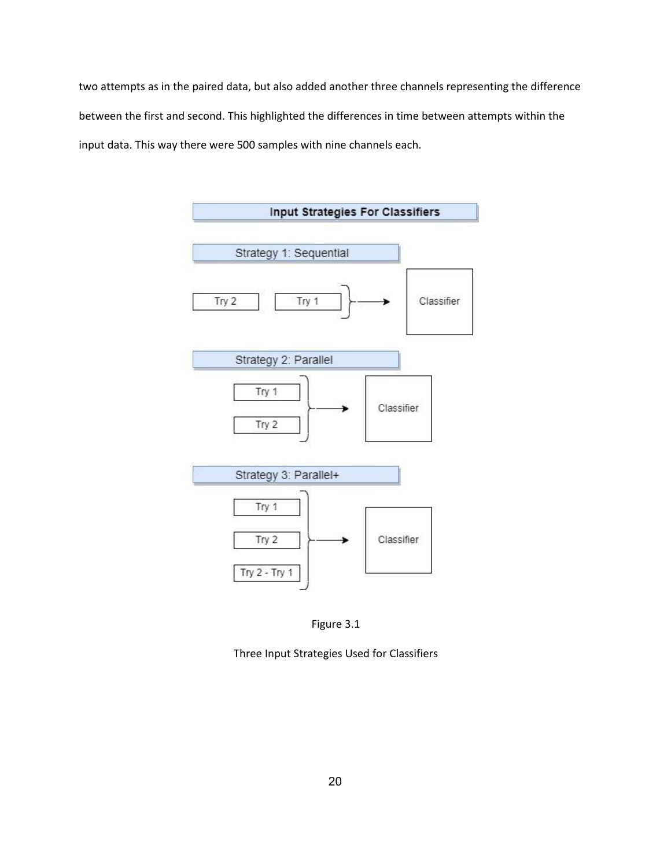two attempts as in the paired data, but also added another three channels representing the difference between the first and second. This highlighted the differences in time between attempts within the input data. This way there were 500 samples with nine channels each.





Three Input Strategies Used for Classifiers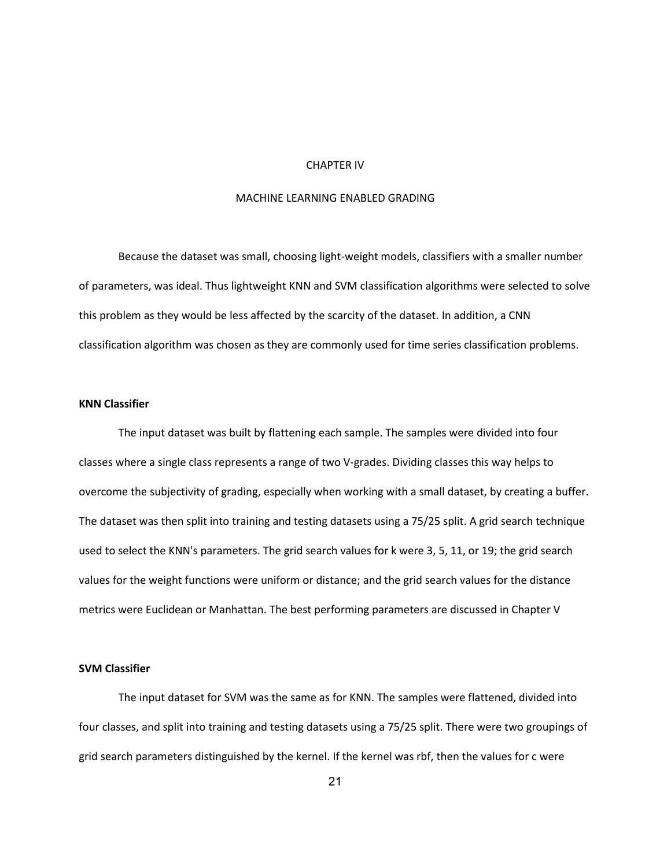#### CHAPTER IV

## MACHINE LEARNING ENABLED GRADING

Because the dataset was small, choosing light-weight models, classifiers with a smaller number of parameters, was ideal. Thus lightweight KNN and SVM classification algorithms were selected to solve this problem as they would be less affected by the scarcity of the dataset. In addition, a CNN classification algorithm was chosen as they are commonly used for time series classification problems.

## **KNN Classifier**

The input dataset was built by flattening each sample. The samples were divided into four classes where a single class represents a range of two V-grades. Dividing classes this way helps to overcome the subjectivity of grading, especially when working with a small dataset, by creating a buffer. The dataset was then split into training and testing datasets using a 75/25 split. A grid search technique used to select the KNN's parameters. The grid search values for k were 3, 5, 11, or 19; the grid search values for the weight functions were uniform or distance; and the grid search values for the distance metrics were Euclidean or Manhattan. The best performing parameters are discussed in Chapter V

### **SVM Classifier**

The input dataset for SVM was the same as for KNN. The samples were flattened, divided into four classes, and split into training and testing datasets using a 75/25 split. There were two groupings of grid search parameters distinguished by the kernel. If the kernel was rbf, then the values for c were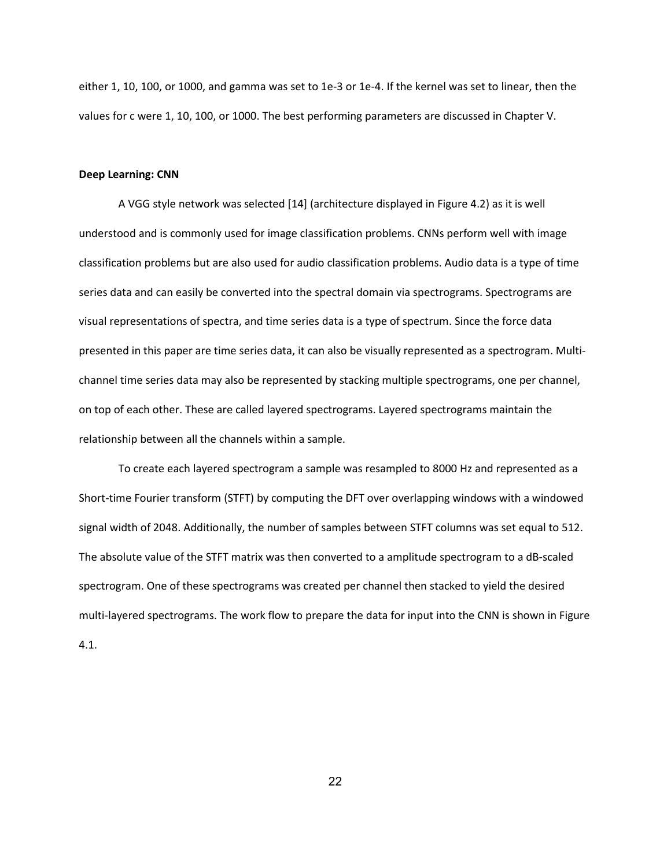either 1, 10, 100, or 1000, and gamma was set to 1e-3 or 1e-4. If the kernel was set to linear, then the values for c were 1, 10, 100, or 1000. The best performing parameters are discussed in Chapter V.

#### **Deep Learning: CNN**

A VGG style network was selected [14] (architecture displayed in Figure 4.2) as it is well understood and is commonly used for image classification problems. CNNs perform well with image classification problems but are also used for audio classification problems. Audio data is a type of time series data and can easily be converted into the spectral domain via spectrograms. Spectrograms are visual representations of spectra, and time series data is a type of spectrum. Since the force data presented in this paper are time series data, it can also be visually represented as a spectrogram. Multichannel time series data may also be represented by stacking multiple spectrograms, one per channel, on top of each other. These are called layered spectrograms. Layered spectrograms maintain the relationship between all the channels within a sample.

To create each layered spectrogram a sample was resampled to 8000 Hz and represented as a Short-time Fourier transform (STFT) by computing the DFT over overlapping windows with a windowed signal width of 2048. Additionally, the number of samples between STFT columns was set equal to 512. The absolute value of the STFT matrix was then converted to a amplitude spectrogram to a dB-scaled spectrogram. One of these spectrograms was created per channel then stacked to yield the desired multi-layered spectrograms. The work flow to prepare the data for input into the CNN is shown in Figure 4.1.

22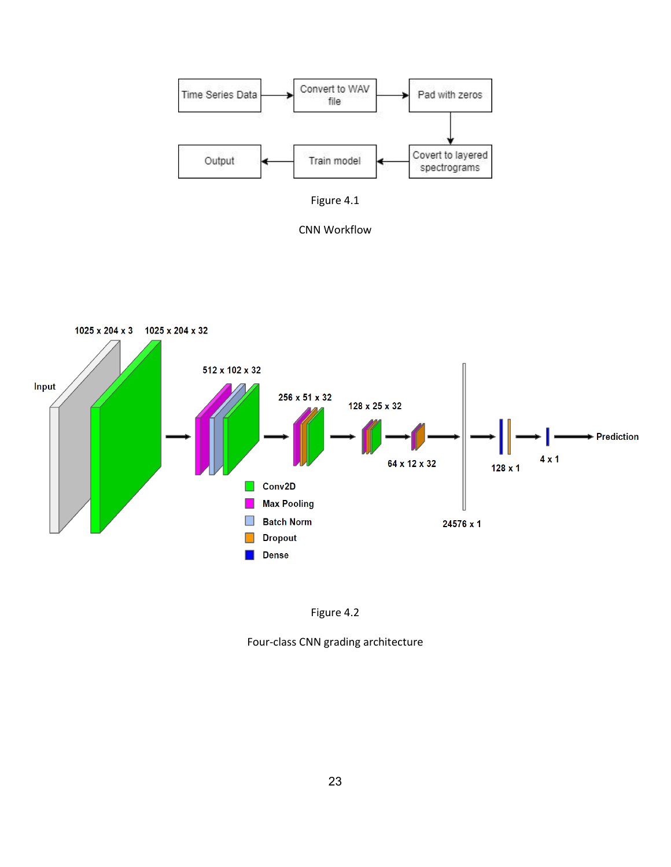



CNN Workflow





Four-class CNN grading architecture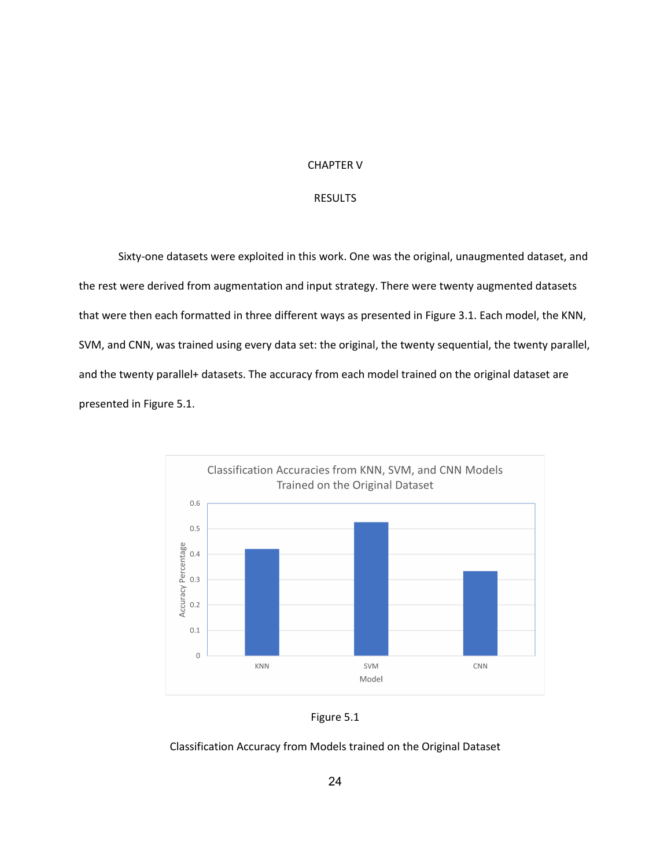### CHAPTER V

## RESULTS

Sixty-one datasets were exploited in this work. One was the original, unaugmented dataset, and the rest were derived from augmentation and input strategy. There were twenty augmented datasets that were then each formatted in three different ways as presented in Figure 3.1. Each model, the KNN, SVM, and CNN, was trained using every data set: the original, the twenty sequential, the twenty parallel, and the twenty parallel+ datasets. The accuracy from each model trained on the original dataset are presented in Figure 5.1.





## Classification Accuracy from Models trained on the Original Dataset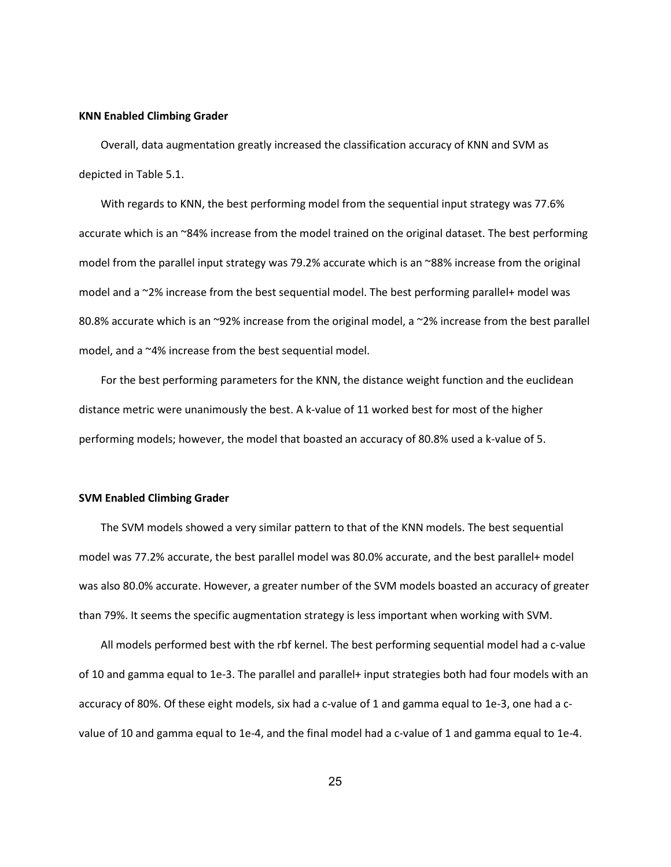#### **KNN Enabled Climbing Grader**

 Overall, data augmentation greatly increased the classification accuracy of KNN and SVM as depicted in Table 5.1.

 With regards to KNN, the best performing model from the sequential input strategy was 77.6% accurate which is an ~84% increase from the model trained on the original dataset. The best performing model from the parallel input strategy was 79.2% accurate which is an ~88% increase from the original model and a ~2% increase from the best sequential model. The best performing parallel+ model was 80.8% accurate which is an ~92% increase from the original model, a ~2% increase from the best parallel model, and a ~4% increase from the best sequential model.

 For the best performing parameters for the KNN, the distance weight function and the euclidean distance metric were unanimously the best. A k-value of 11 worked best for most of the higher performing models; however, the model that boasted an accuracy of 80.8% used a k-value of 5.

### **SVM Enabled Climbing Grader**

 The SVM models showed a very similar pattern to that of the KNN models. The best sequential model was 77.2% accurate, the best parallel model was 80.0% accurate, and the best parallel+ model was also 80.0% accurate. However, a greater number of the SVM models boasted an accuracy of greater than 79%. It seems the specific augmentation strategy is less important when working with SVM.

 All models performed best with the rbf kernel. The best performing sequential model had a c-value of 10 and gamma equal to 1e-3. The parallel and parallel+ input strategies both had four models with an accuracy of 80%. Of these eight models, six had a c-value of 1 and gamma equal to 1e-3, one had a cvalue of 10 and gamma equal to 1e-4, and the final model had a c-value of 1 and gamma equal to 1e-4.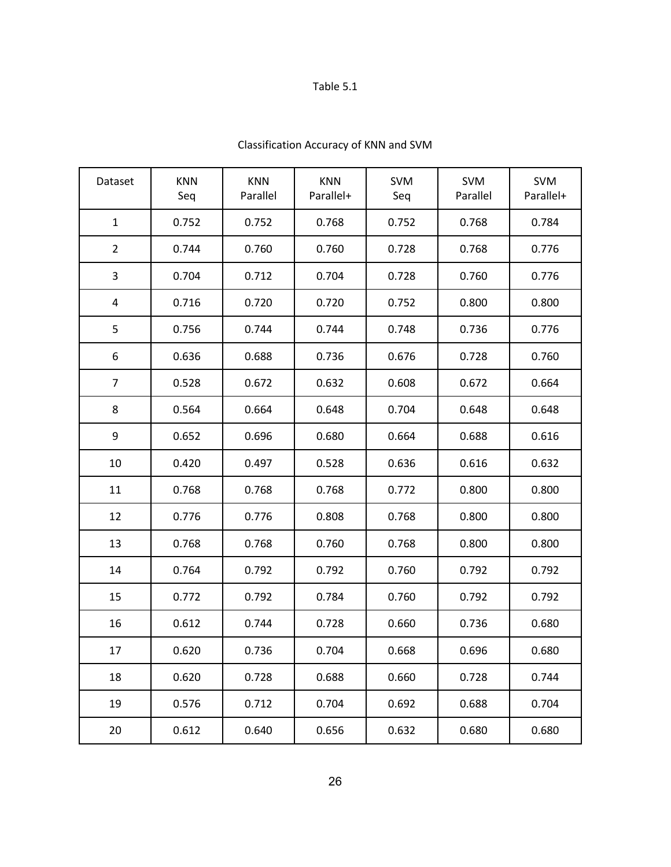# Table 5.1

| Dataset                 | <b>KNN</b><br>Seq | <b>KNN</b><br>Parallel | <b>KNN</b><br>Parallel+ | <b>SVM</b><br>Seq | <b>SVM</b><br>Parallel | <b>SVM</b><br>Parallel+ |
|-------------------------|-------------------|------------------------|-------------------------|-------------------|------------------------|-------------------------|
| $\mathbf{1}$            | 0.752             | 0.752                  | 0.768                   | 0.752             | 0.768                  | 0.784                   |
| $\overline{2}$          | 0.744             | 0.760                  | 0.760                   | 0.728             | 0.768                  | 0.776                   |
| $\overline{\mathbf{3}}$ | 0.704             | 0.712                  | 0.704                   | 0.728             | 0.760                  | 0.776                   |
| $\overline{\mathbf{4}}$ | 0.716             | 0.720                  | 0.720                   | 0.752             | 0.800                  | 0.800                   |
| $\mathsf S$             | 0.756             | 0.744                  | 0.744                   | 0.748             | 0.736                  | 0.776                   |
| 6                       | 0.636             | 0.688                  | 0.736                   | 0.676             | 0.728                  | 0.760                   |
| $\overline{7}$          | 0.528             | 0.672                  | 0.632                   | 0.608             | 0.672                  | 0.664                   |
| 8                       | 0.564             | 0.664                  | 0.648                   | 0.704             | 0.648                  | 0.648                   |
| 9                       | 0.652             | 0.696                  | 0.680                   | 0.664             | 0.688                  | 0.616                   |
| 10                      | 0.420             | 0.497                  | 0.528                   | 0.636             | 0.616                  | 0.632                   |
| 11                      | 0.768             | 0.768                  | 0.768                   | 0.772             | 0.800                  | 0.800                   |
| 12                      | 0.776             | 0.776                  | 0.808                   | 0.768             | 0.800                  | 0.800                   |
| 13                      | 0.768             | 0.768                  | 0.760                   | 0.768             | 0.800                  | 0.800                   |
| 14                      | 0.764             | 0.792                  | 0.792                   | 0.760             | 0.792                  | 0.792                   |
| 15                      | 0.772             | 0.792                  | 0.784                   | 0.760             | 0.792                  | 0.792                   |
| 16                      | 0.612             | 0.744                  | 0.728                   | 0.660             | 0.736                  | 0.680                   |
| 17                      | 0.620             | 0.736                  | 0.704                   | 0.668             | 0.696                  | 0.680                   |
| 18                      | 0.620             | 0.728                  | 0.688                   | 0.660             | 0.728                  | 0.744                   |
| 19                      | 0.576             | 0.712                  | 0.704                   | 0.692             | 0.688                  | 0.704                   |
| 20                      | 0.612             | 0.640                  | 0.656                   | 0.632             | 0.680                  | 0.680                   |

# Classification Accuracy of KNN and SVM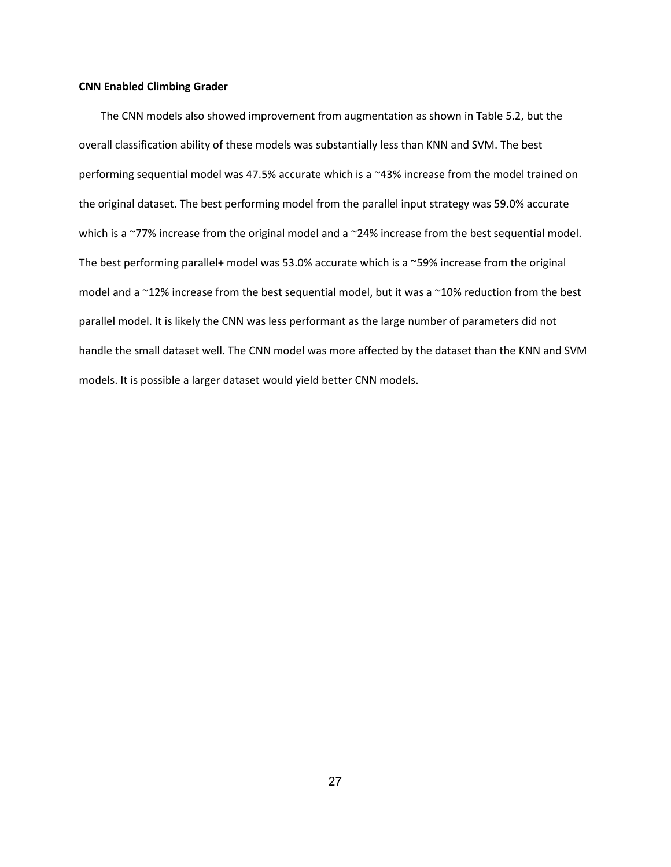### **CNN Enabled Climbing Grader**

 The CNN models also showed improvement from augmentation as shown in Table 5.2, but the overall classification ability of these models was substantially less than KNN and SVM. The best performing sequential model was 47.5% accurate which is a ~43% increase from the model trained on the original dataset. The best performing model from the parallel input strategy was 59.0% accurate which is a ~77% increase from the original model and a ~24% increase from the best sequential model. The best performing parallel+ model was 53.0% accurate which is a ~59% increase from the original model and a ~12% increase from the best sequential model, but it was a ~10% reduction from the best parallel model. It is likely the CNN was less performant as the large number of parameters did not handle the small dataset well. The CNN model was more affected by the dataset than the KNN and SVM models. It is possible a larger dataset would yield better CNN models.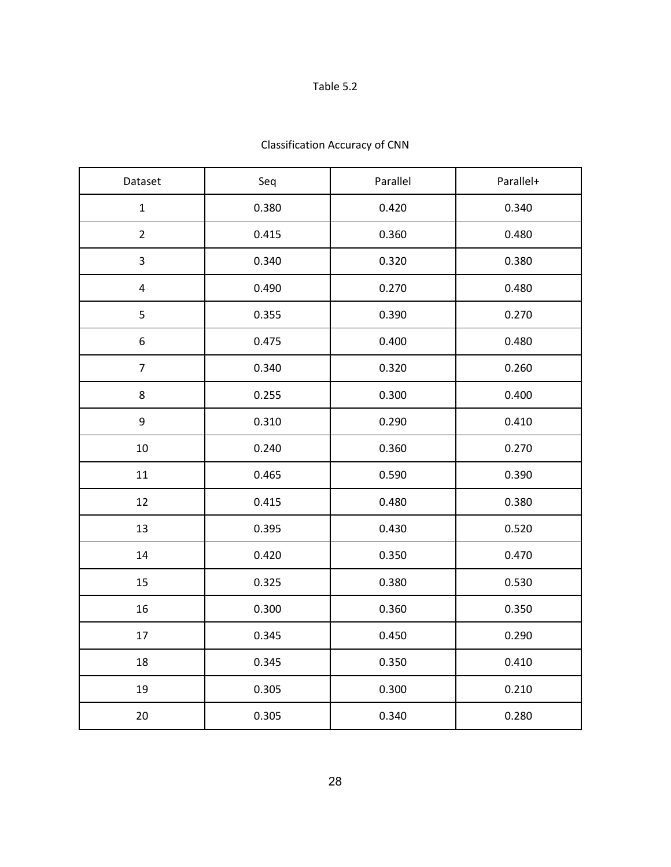# Table 5.2

| Dataset        | Seq   | Parallel | Parallel+ |  |
|----------------|-------|----------|-----------|--|
| $\mathbf 1$    | 0.380 | 0.420    | 0.340     |  |
| $\overline{2}$ | 0.415 | 0.360    | 0.480     |  |
| 3              | 0.340 | 0.320    | 0.380     |  |
| $\pmb{4}$      | 0.490 | 0.270    | 0.480     |  |
| 5              | 0.355 | 0.390    | 0.270     |  |
| 6              | 0.475 | 0.400    | 0.480     |  |
| $\overline{7}$ | 0.340 | 0.320    | 0.260     |  |
| 8              | 0.255 | 0.300    | 0.400     |  |
| 9              | 0.310 | 0.290    | 0.410     |  |
| 10             | 0.240 | 0.360    | 0.270     |  |
| 11             | 0.465 | 0.590    | 0.390     |  |
| 12             | 0.415 | 0.480    | 0.380     |  |
| 13             | 0.395 | 0.430    | 0.520     |  |
| 14             | 0.420 | 0.350    | 0.470     |  |
| 15             | 0.325 | 0.380    | 0.530     |  |
| 16             | 0.300 | 0.360    | 0.350     |  |
| 17             | 0.345 | 0.450    | 0.290     |  |
| 18             | 0.345 | 0.350    | 0.410     |  |
| 19             | 0.305 | 0.300    | 0.210     |  |
| $20\,$         | 0.305 | 0.340    | 0.280     |  |

# Classification Accuracy of CNN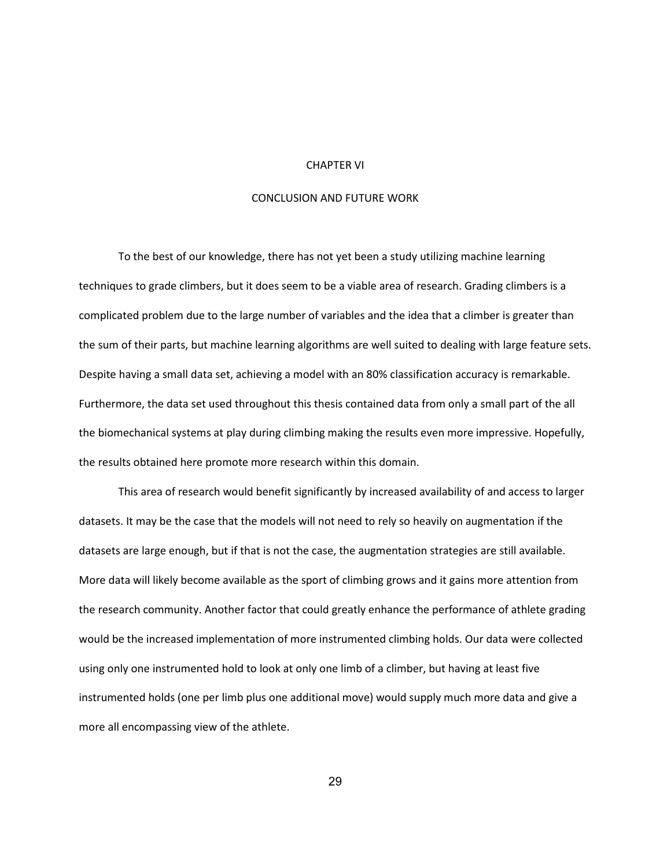#### CHAPTER VI

## CONCLUSION AND FUTURE WORK

To the best of our knowledge, there has not yet been a study utilizing machine learning techniques to grade climbers, but it does seem to be a viable area of research. Grading climbers is a complicated problem due to the large number of variables and the idea that a climber is greater than the sum of their parts, but machine learning algorithms are well suited to dealing with large feature sets. Despite having a small data set, achieving a model with an 80% classification accuracy is remarkable. Furthermore, the data set used throughout this thesis contained data from only a small part of the all the biomechanical systems at play during climbing making the results even more impressive. Hopefully, the results obtained here promote more research within this domain.

This area of research would benefit significantly by increased availability of and access to larger datasets. It may be the case that the models will not need to rely so heavily on augmentation if the datasets are large enough, but if that is not the case, the augmentation strategies are still available. More data will likely become available as the sport of climbing grows and it gains more attention from the research community. Another factor that could greatly enhance the performance of athlete grading would be the increased implementation of more instrumented climbing holds. Our data were collected using only one instrumented hold to look at only one limb of a climber, but having at least five instrumented holds (one per limb plus one additional move) would supply much more data and give a more all encompassing view of the athlete.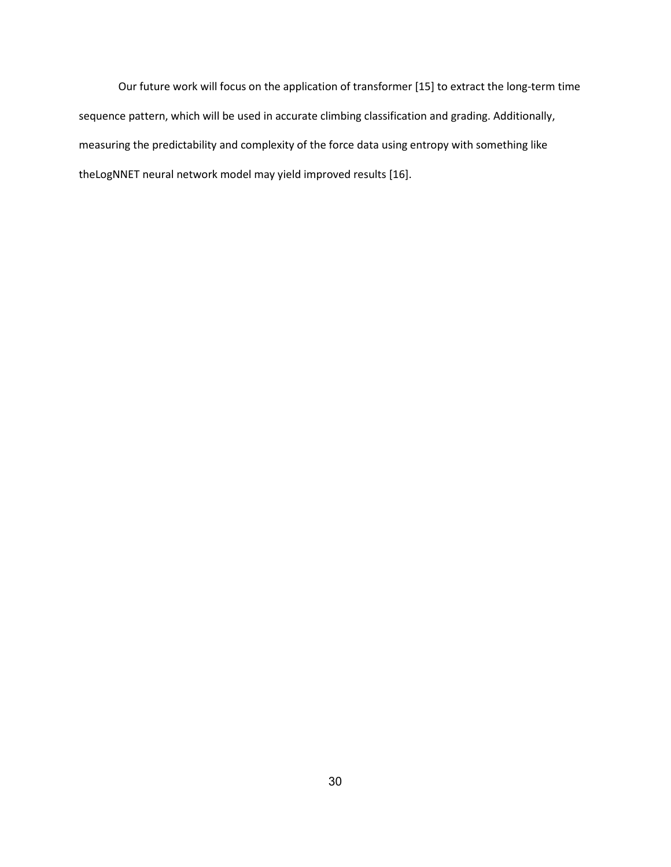Our future work will focus on the application of transformer [15] to extract the long-term time sequence pattern, which will be used in accurate climbing classification and grading. Additionally, measuring the predictability and complexity of the force data using entropy with something like theLogNNET neural network model may yield improved results [16].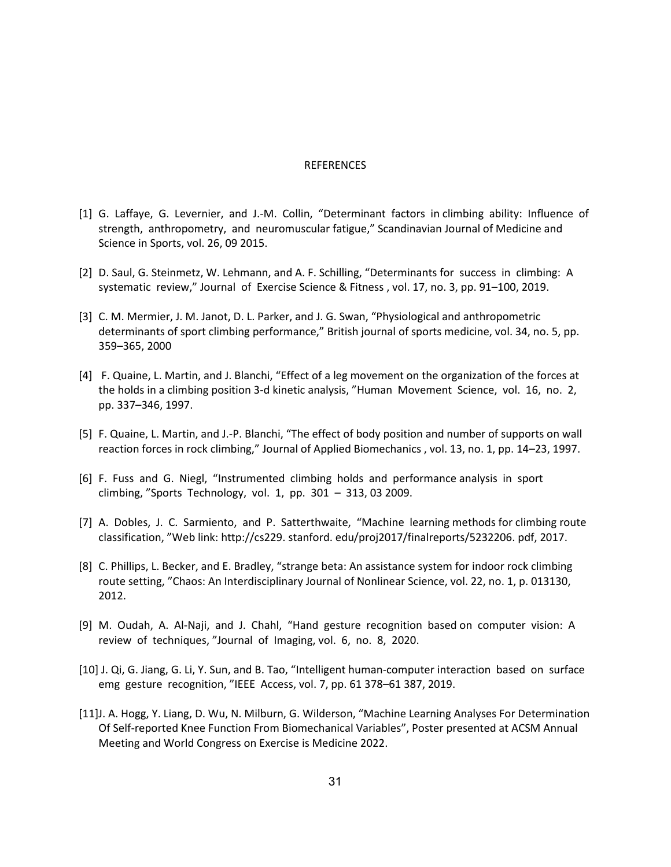#### **REFERENCES**

- [1] G. Laffaye, G. Levernier, and J.-M. Collin, "Determinant factors in climbing ability: Influence of strength, anthropometry, and neuromuscular fatigue," Scandinavian Journal of Medicine and Science in Sports, vol. 26, 09 2015.
- [2] D. Saul, G. Steinmetz, W. Lehmann, and A. F. Schilling, "Determinants for success in climbing: A systematic review," Journal of Exercise Science & Fitness , vol. 17, no. 3, pp. 91–100, 2019.
- [3] C. M. Mermier, J. M. Janot, D. L. Parker, and J. G. Swan, "Physiological and anthropometric determinants of sport climbing performance," British journal of sports medicine, vol. 34, no. 5, pp. 359–365, 2000
- [4] F. Quaine, L. Martin, and J. Blanchi, "Effect of a leg movement on the organization of the forces at the holds in a climbing position 3-d kinetic analysis, "Human Movement Science, vol. 16, no. 2, pp. 337–346, 1997.
- [5] F. Quaine, L. Martin, and J.-P. Blanchi, "The effect of body position and number of supports on wall reaction forces in rock climbing," Journal of Applied Biomechanics , vol. 13, no. 1, pp. 14–23, 1997.
- [6] F. Fuss and G. Niegl, "Instrumented climbing holds and performance analysis in sport climbing, "Sports Technology, vol. 1, pp. 301 – 313, 03 2009.
- [7] A. Dobles, J. C. Sarmiento, and P. Satterthwaite, "Machine learning methods for climbing route classification, "Web link: http://cs229. stanford. edu/proj2017/finalreports/5232206. pdf, 2017.
- [8] C. Phillips, L. Becker, and E. Bradley, "strange beta: An assistance system for indoor rock climbing route setting, "Chaos: An Interdisciplinary Journal of Nonlinear Science, vol. 22, no. 1, p. 013130, 2012.
- [9] M. Oudah, A. Al-Naji, and J. Chahl, "Hand gesture recognition based on computer vision: A review of techniques, "Journal of Imaging, vol. 6, no. 8, 2020.
- [10] J. Qi, G. Jiang, G. Li, Y. Sun, and B. Tao, "Intelligent human-computer interaction based on surface emg gesture recognition, "IEEE Access, vol. 7, pp. 61 378–61 387, 2019.
- [11]J. A. Hogg, Y. Liang, D. Wu, N. Milburn, G. Wilderson, "Machine Learning Analyses For Determination Of Self-reported Knee Function From Biomechanical Variables", Poster presented at ACSM Annual Meeting and World Congress on Exercise is Medicine 2022.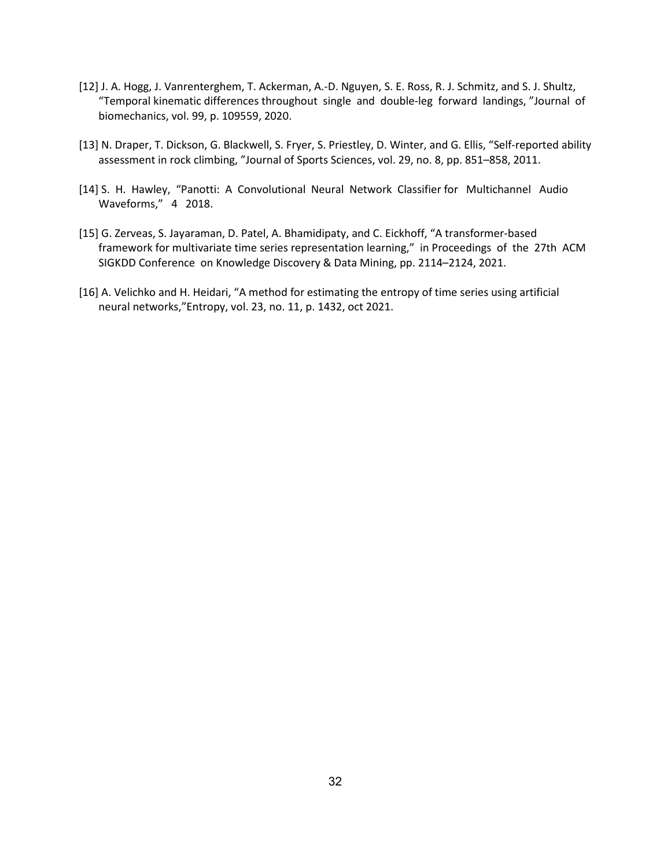- [12] J. A. Hogg, J. Vanrenterghem, T. Ackerman, A.-D. Nguyen, S. E. Ross, R. J. Schmitz, and S. J. Shultz, "Temporal kinematic differences throughout single and double-leg forward landings, "Journal of biomechanics, vol. 99, p. 109559, 2020.
- [13] N. Draper, T. Dickson, G. Blackwell, S. Fryer, S. Priestley, D. Winter, and G. Ellis, "Self-reported ability assessment in rock climbing, "Journal of Sports Sciences, vol. 29, no. 8, pp. 851–858, 2011.
- [14] S. H. Hawley, "Panotti: A Convolutional Neural Network Classifier for Multichannel Audio Waveforms," 4 2018.
- [15] G. Zerveas, S. Jayaraman, D. Patel, A. Bhamidipaty, and C. Eickhoff, "A transformer-based framework for multivariate time series representation learning," in Proceedings of the 27th ACM SIGKDD Conference on Knowledge Discovery & Data Mining, pp. 2114–2124, 2021.
- [16] A. Velichko and H. Heidari, "A method for estimating the entropy of time series using artificial neural networks,"Entropy, vol. 23, no. 11, p. 1432, oct 2021.